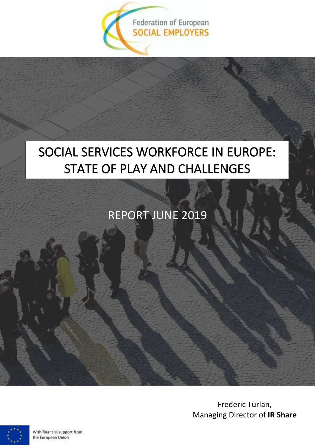

# SOCIAL SERVICES WORKFORCE IN EUROPE: STATE OF PLAY AND CHALLENGES

# REPORT JUNE 2019

Frederic Turlan, Managing Director of **IR Share**



With financial support from the European Union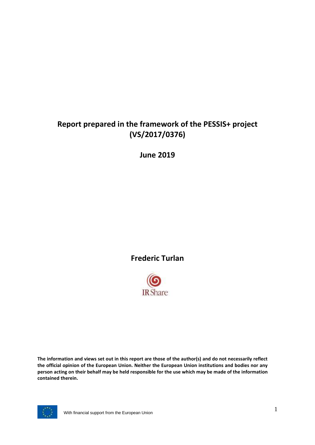# **Report prepared in the framework of the PESSIS+ project (VS/2017/0376)**

**June 2019**

# **Frederic Turlan**



**The information and views set out in this report are those of the author(s) and do not necessarily reflect the official opinion of the European Union. Neither the European Union institutions and bodies nor any person acting on their behalf may be held responsible for the use which may be made of the information contained therein.**

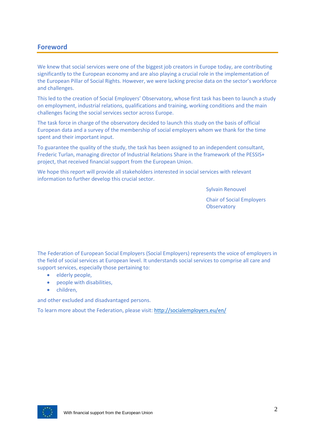## **Foreword**

We knew that social services were one of the biggest job creators in Europe today, are contributing significantly to the European economy and are also playing a crucial role in the implementation of the European Pillar of Social Rights. However, we were lacking precise data on the sector's workforce and challenges.

This led to the creation of Social Employers' Observatory, whose first task has been to launch a study on employment, industrial relations, qualifications and training, working conditions and the main challenges facing the social services sector across Europe.

The task force in charge of the observatory decided to launch this study on the basis of official European data and a survey of the membership of social employers whom we thank for the time spent and their important input.

To guarantee the quality of the study, the task has been assigned to an independent consultant, Frederic Turlan, managing director of Industrial Relations Share in the framework of the PESSIS+ project, that received financial support from the European Union.

We hope this report will provide all stakeholders interested in social services with relevant information to further develop this crucial sector.

Sylvain Renouvel

Chair of Social Employers **Observatory** 

The Federation of European Social Employers (Social Employers) represents the voice of employers in the field of social services at European level. It understands social services to comprise all care and support services, especially those pertaining to:

- elderly people,
- people with disabilities,
- children,

and other excluded and disadvantaged persons.

To learn more about the Federation, please visit:<http://socialemployers.eu/en/>

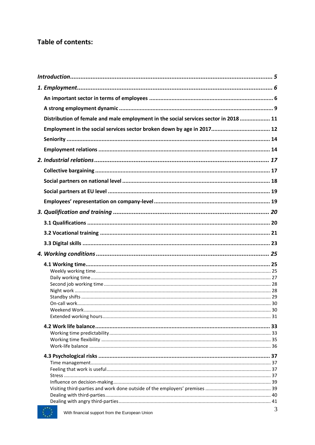## **Table of contents:**

| Distribution of female and male employment in the social services sector in 2018  11 |              |
|--------------------------------------------------------------------------------------|--------------|
|                                                                                      |              |
|                                                                                      |              |
|                                                                                      |              |
|                                                                                      |              |
|                                                                                      |              |
|                                                                                      |              |
|                                                                                      |              |
|                                                                                      |              |
|                                                                                      |              |
|                                                                                      |              |
|                                                                                      |              |
|                                                                                      |              |
|                                                                                      |              |
|                                                                                      |              |
|                                                                                      |              |
|                                                                                      |              |
|                                                                                      |              |
|                                                                                      |              |
|                                                                                      |              |
|                                                                                      |              |
|                                                                                      |              |
|                                                                                      |              |
|                                                                                      |              |
|                                                                                      |              |
|                                                                                      |              |
|                                                                                      |              |
|                                                                                      |              |
|                                                                                      |              |
|                                                                                      |              |
|                                                                                      |              |
|                                                                                      |              |
|                                                                                      |              |
| $1.11 + 1.1$                                                                         | $\mathbf{r}$ |

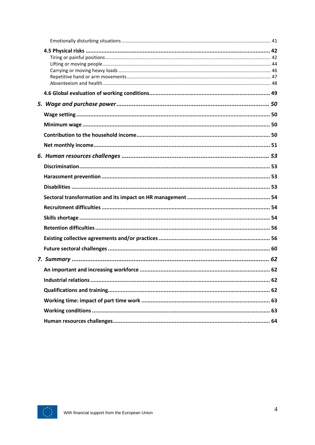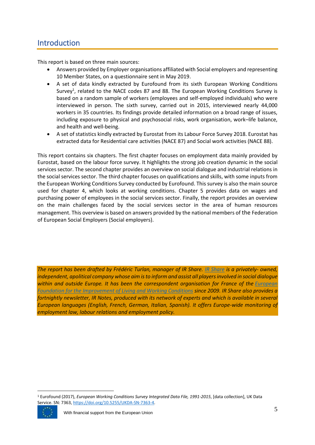## <span id="page-5-0"></span>Introduction

This report is based on three main sources:

- Answers provided by Employer organisations affiliated with Social employers and representing 10 Member States, on a questionnaire sent in May 2019.
- A set of data kindly extracted by Eurofound from its sixth European Working Conditions Survey<sup>1</sup>, related to the NACE codes 87 and 88. The European Working Conditions Survey is based on a random sample of workers (employees and self-employed individuals) who were interviewed in person. The sixth survey, carried out in 2015, interviewed nearly 44,000 workers in 35 countries. Its findings provide detailed information on a broad range of issues, including exposure to physical and psychosocial risks, work organisation, work–life balance, and health and well-being.
- A set of statistics kindly extracted by Eurostat from its Labour Force Survey 2018. Eurostat has extracted data for Residential care activities (NACE 87) and Social work activities (NACE 88).

This report contains six chapters. The first chapter focuses on employment data mainly provided by Eurostat, based on the labour force survey. It highlights the strong job creation dynamic in the social services sector. The second chapter provides an overview on social dialogue and industrial relations in the social services sector. The third chapter focuses on qualifications and skills, with some inputs from the European Working Conditions Survey conducted by Eurofound. This survey is also the main source used for chapter 4, which looks at working conditions. Chapter 5 provides data on wages and purchasing power of employees in the social services sector. Finally, the report provides an overview on the main challenges faced by the social services sector in the area of human resources management. This overview is based on answers provided by the national members of the Federation of European Social Employers (Social employers).

*The report has been drafted by Frédéric Turlan, manager of IR Share. [IR Share](http://www.irshare.eu/en/) is a privately- owned, independent, apolitical company whose aim is to inform and assist all players involved in social dialogue within and outside Europe. It has been the correspondent organisation for France of the [European](https://www.eurofound.europa.eu/)  [Foundation for the Improvement of Living and Working Conditions](https://www.eurofound.europa.eu/) since 2009. IR Share also provides a fortnightly newsletter, IR Notes, produced with its network of experts and which is available in several European languages (English, French, German, Italian, Spanish). It offers Europe-wide monitoring of employment law, labour relations and employment policy.*

<sup>1</sup> Eurofound (2017), *European Working Conditions Survey Integrated Data File, 1991-2015*, [data collection], UK Data Service. SN: 7363, [https://doi.org/10.5255/UKDA-SN-7363-4.](https://doi.org/10.5255/UKDA-SN-7363-4)

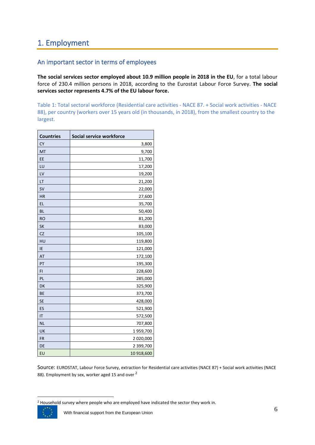# <span id="page-6-0"></span>1. Employment

## <span id="page-6-1"></span>An important sector in terms of employees

**The social services sector employed about 10.9 million people in 2018 in the EU**, for a total labour force of 230.4 million persons in 2018, according to the Eurostat Labour Force Survey. **The social services sector represents 4.7% of the EU labour force.**

Table 1: Total sectoral workforce (Residential care activities - NACE 87. + Social work activities - NACE 88), per country (workers over 15 years old (in thousands, in 2018), from the smallest country to the largest.

| <b>Countries</b> | Social service workforce |
|------------------|--------------------------|
| <b>CY</b>        | 3,800                    |
| MT               | 9,700                    |
| EE               | 11,700                   |
| LU               | 17,200                   |
| LV               | 19,200                   |
| LT               | 21,200                   |
| <b>SV</b>        | 22,000                   |
| <b>HR</b>        | 27,600                   |
| EL               | 35,700                   |
| <b>BL</b>        | 50,400                   |
| <b>RO</b>        | 81,200                   |
| <b>SK</b>        | 83,000                   |
| <b>CZ</b>        | 105,100                  |
| HU               | 119,800                  |
| IE               | 121,000                  |
| AT               | 172,100                  |
| PT               | 195,300                  |
| FI               | 228,600                  |
| PL               | 285,000                  |
| DK               | 325,900                  |
| BE               | 373,700                  |
| <b>SE</b>        | 428,000                  |
| ES               | 521,900                  |
| IT               | 572,500                  |
| <b>NL</b>        | 707,800                  |
| UK               | 1959,700                 |
| <b>FR</b>        | 2 020,000                |
| DE               | 2 399,700                |
| EU               | 10 918,600               |

Source: EUROSTAT, Labour Force Survey, extraction for Residential care activities (NACE 87) + Social work activities (NACE 88). Employment by sex, worker aged 15 and over <sup>2</sup>

<sup>&</sup>lt;sup>2</sup> Household survey where people who are employed have indicated the sector they work in.

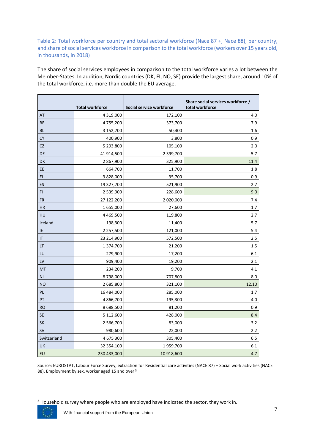## Table 2: Total workforce per country and total sectoral workforce (Nace 87 +, Nace 88), per country, and share of social services workforce in comparison to the total workforce (workers over 15 years old, in thousands, in 2018)

The share of social services employees in comparison to the total workforce varies a lot between the Member-States. In addition, Nordic countries (DK, FI, NO, SE) provide the largest share, around 10% of the total workforce, i.e. more than double the EU average.

|             | <b>Total workforce</b> | Social service workforce | Share social services workforce /<br>total workforce |
|-------------|------------------------|--------------------------|------------------------------------------------------|
| AT          | 4 3 1 9,000            | 172,100                  | 4.0                                                  |
| BE          | 4755,200               | 373,700                  | 7.9                                                  |
| BL          | 3 152,700              | 50,400                   | 1.6                                                  |
| <b>CY</b>   | 400,900                | 3,800                    | 0.9                                                  |
| <b>CZ</b>   | 5 293,800              | 105,100                  | 2.0                                                  |
| DE          | 41 914,500             | 2 399,700                | 5.7                                                  |
| DK          | 2 867,900              | 325,900                  | 11.4                                                 |
| EE          | 664,700                | 11,700                   | 1.8                                                  |
| EL          | 3 828,000              | 35,700                   | 0.9                                                  |
| ES          | 19 327,700             | 521,900                  | 2.7                                                  |
| FI          | 2 539,900              | 228,600                  | 9.0                                                  |
| <b>FR</b>   | 27 122,200             | 2 020,000                | 7.4                                                  |
| HR          | 1655,000               | 27,600                   | $1.7\,$                                              |
| HU          | 4 4 69,500             | 119,800                  | 2.7                                                  |
| Iceland     | 198,300                | 11,400                   | 5.7                                                  |
| IE          | 2 2 5 7,500            | 121,000                  | 5.4                                                  |
| IT          | 23 214,900             | 572,500                  | 2.5                                                  |
| LT          | 1374,700               | 21,200                   | $1.5\,$                                              |
| LU          | 279,900                | 17,200                   | 6.1                                                  |
| LV          | 909,400                | 19,200                   | 2.1                                                  |
| MT          | 234,200                | 9,700                    | 4.1                                                  |
| <b>NL</b>   | 8798,000               | 707,800                  | 8.0                                                  |
| <b>NO</b>   | 2 685,800              | 321,100                  | 12.10                                                |
| PL          | 16 484,000             | 285,000                  | 1.7                                                  |
| PT          | 4866,700               | 195,300                  | 4.0                                                  |
| <b>RO</b>   | 8688,500               | 81,200                   | 0.9                                                  |
| <b>SE</b>   | 5 112,600              | 428,000                  | 8.4                                                  |
| SK          | 2 566,700              | 83,000                   | 3.2                                                  |
| <b>SV</b>   | 980,600                | 22,000                   | 2.2                                                  |
| Switzerland | 4 675 300              | 305,400                  | 6.5                                                  |
| UK          | 32 354,100             | 1959,700                 | 6.1                                                  |
| EU          | 230 433,000            | 10 918,600               | 4.7                                                  |

Source: EUROSTAT, Labour Force Survey, extraction for Residential care activities (NACE 87) + Social work activities (NACE 88). Employment by sex, worker aged 15 and over <sup>3</sup>

<sup>&</sup>lt;sup>3</sup> Household survey where people who are employed have indicated the sector, they work in.

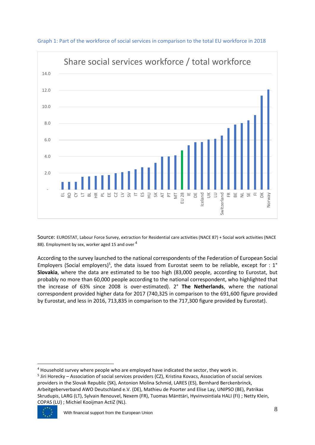

Graph 1: Part of the workforce of social services in comparison to the total EU workforce in 2018

Source: EUROSTAT, Labour Force Survey, extraction for Residential care activities (NACE 87) + Social work activities (NACE 88). Employment by sex, worker aged 15 and over <sup>4</sup>

According to the survey launched to the national correspondents of the Federation of European Social Employers (Social employers)<sup>5</sup>, the data issued from Eurostat seem to be reliable, except for : 1° **Slovakia**, where the data are estimated to be too high (83,000 people, according to Eurostat, but probably no more than 60,000 people according to the national correspondent, who highlighted that the increase of 63% since 2008 is over-estimated). 2° **The Netherlands**, where the national correspondent provided higher data for 2017 (740,325 in comparison to the 691,600 figure provided by Eurostat, and less in 2016, 713,835 in comparison to the 717,300 figure provided by Eurostat).

<sup>5</sup> Jiri Horecky – Association of social services providers (CZ), Kristina Kovacs, Association of social services providers in the Slovak Republic (SK), Antonion Molina Schmid, LARES (ES), Bernhard Berckenbrinck, Arbeitgeberverband AWO Deutschland e.V. (DE), Mathieu de Poorter and Elise Lay, UNIPSO (BE), Patrikas Skrudupis, LARG (LT), Sylvain Renouvel, Nexem (FR), Tuomas Mänttäri, Hyvinvointiala HALI (FI) ; Netty Klein, COPAS (LU) ; Michiel Kooijman ActiZ (NL).



<sup>4</sup> Household survey where people who are employed have indicated the sector, they work in.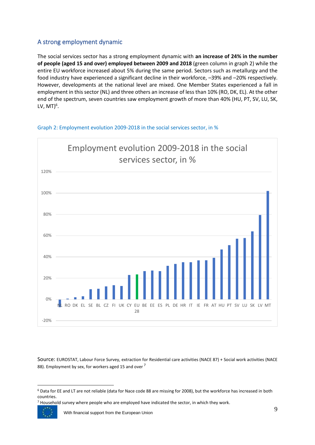## <span id="page-9-0"></span>A strong employment dynamic

The social services sector has a strong employment dynamic with **an increase of 24% in the number of people (aged 15 and over) employed between 2009 and 2018** (green column in graph 2) while the entire EU workforce increased about 5% during the same period. Sectors such as metallurgy and the food industry have experienced a significant decline in their workforce, –39% and –20% respectively. However, developments at the national level are mixed. One Member States experienced a fall in employment in this sector (NL) and three others an increase of less than 10% (RO, DK, EL). At the other end of the spectrum, seven countries saw employment growth of more than 40% (HU, PT, SV, LU, SK, LV, MT)<sup>6</sup>.



#### Graph 2: Employment evolution 2009-2018 in the social services sector, in %

Source: EUROSTAT, Labour Force Survey, extraction for Residential care activities (NACE 87) + Social work activities (NACE 88). Employment by sex, for workers aged 15 and over <sup>7</sup>

<sup>7</sup> Household survey where people who are employed have indicated the sector, in which they work.

With financial support from the European Union 9

<sup>6</sup> Data for EE and LT are not reliable (data for Nace code 88 are missing for 2008), but the workforce has increased in both countries.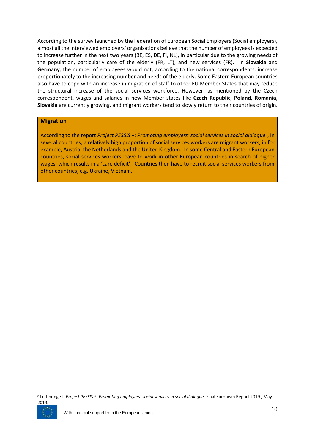According to the survey launched by the Federation of European Social Employers (Social employers), almost all the interviewed employers' organisations believe that the number of employees is expected to increase further in the next two years (BE, ES, DE, FI, NL), in particular due to the growing needs of the population, particularly care of the elderly (FR, LT), and new services (FR). In **Slovakia** and **Germany**, the number of employees would not, according to the national correspondents, increase proportionately to the increasing number and needs of the elderly. Some Eastern European countries also have to cope with an increase in migration of staff to other EU Member States that may reduce the structural increase of the social services workforce. However, as mentioned by the Czech correspondent, wages and salaries in new Member states like **Czech Republic**, **Poland**, **Romania**, **Slovakia** are currently growing, and migrant workers tend to slowly return to their countries of origin.

#### **Migration**

According to the report *Project PESSIS +: Promoting employers' social services in social dialogue*<sup>8</sup>, in several countries, a relatively high proportion of social services workers are migrant workers, in for example, Austria, the Netherlands and the United Kingdom. In some Central and Eastern European countries, social services workers leave to work in other European countries in search of higher wages, which results in a 'care deficit'. Countries then have to recruit social services workers from other countries, e.g. Ukraine, Vietnam.

<sup>8</sup> Lethbridge J. *Project PESSIS +: Promoting employers' social services in social dialogue*, Final European Report 2019 , May 2019.

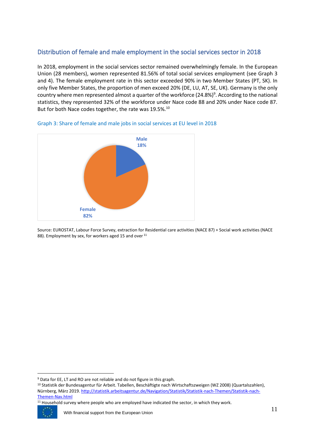## <span id="page-11-0"></span>Distribution of female and male employment in the social services sector in 2018

In 2018, employment in the social services sector remained overwhelmingly female. In the European Union (28 members), women represented 81.56% of total social services employment (see Graph 3 and 4). The female employment rate in this sector exceeded 90% in two Member States (PT, SK). In only five Member States, the proportion of men exceed 20% (DE, LU, AT, SE, UK). Germany is the only country where men represented almost a quarter of the workforce (24.8%)<sup>9</sup>. According to the national statistics, they represented 32% of the workforce under Nace code 88 and 20% under Nace code 87. But for both Nace codes together, the rate was 19.5%.<sup>10</sup>



Graph 3: Share of female and male jobs in social services at EU level in 2018

Source: EUROSTAT, Labour Force Survey, extraction for Residential care activities (NACE 87) + Social work activities (NACE 88). Employment by sex, for workers aged 15 and over <sup>11</sup>

<sup>&</sup>lt;sup>11</sup> Household survey where people who are employed have indicated the sector, in which they work.



<sup>9</sup> Data for EE, LT and RO are not reliable and do not figure in this graph.

<sup>&</sup>lt;sup>10</sup> Statistik der Bundesagentur für Arbeit. Tabellen, Beschäftigte nach Wirtschaftszweigen (WZ 2008) (Quartalszahlen), Nürnberg, März 2019[. http://statistik.arbeitsagentur.de/Navigation/Statistik/Statistik-nach-Themen/Statistik-nach-](http://statistik.arbeitsagentur.de/Navigation/Statistik/Statistik-nach-Themen/Statistik-nach-Themen-Nav.html)[Themen-Nav.html](http://statistik.arbeitsagentur.de/Navigation/Statistik/Statistik-nach-Themen/Statistik-nach-Themen-Nav.html)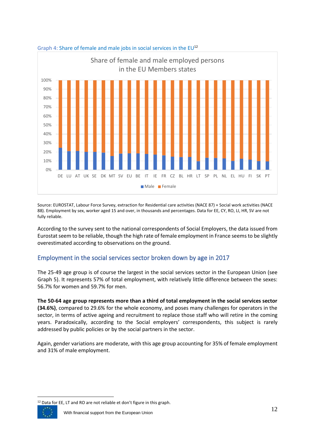

#### Graph 4: Share of female and male jobs in social services in the  $EU^{12}$

Source: EUROSTAT, Labour Force Survey, extraction for Residential care activities (NACE 87) + Social work activities (NACE 88). Employment by sex, worker aged 15 and over, in thousands and percentages. Data for EE, CY, RO, LI, HR, SV are not fully reliable.

According to the survey sent to the national correspondents of Social Employers, the data issued from Eurostat seem to be reliable, though the high rate of female employment in France seems to be slightly overestimated according to observations on the ground.

## <span id="page-12-0"></span>Employment in the social services sector broken down by age in 2017

The 25-49 age group is of course the largest in the social services sector in the European Union (see Graph 5). It represents 57% of total employment, with relatively little difference between the sexes: 56.7% for women and 59.7% for men.

**The 50-64 age group represents more than a third of total employment in the social services sector (34.6%)**, compared to 29.6% for the whole economy, and poses many challenges for operators in the sector, in terms of active ageing and recruitment to replace those staff who will retire in the coming years. Paradoxically, according to the Social employers' correspondents, this subject is rarely addressed by public policies or by the social partners in the sector.

Again, gender variations are moderate, with this age group accounting for 35% of female employment and 31% of male employment.

<sup>12</sup> Data for EE, LT and RO are not reliable et don't figure in this graph.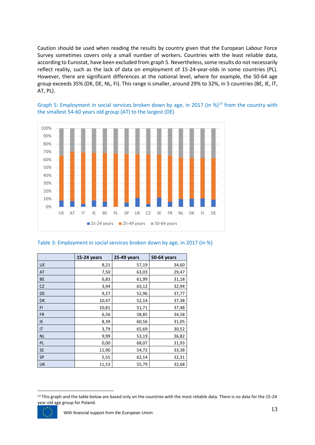Caution should be used when reading the results by country given that the European Labour Force Survey sometimes covers only a small number of workers. Countries with the least reliable data, according to Eurostat, have been excluded from graph 5. Nevertheless, some results do not necessarily reflect reality, such as the lack of data on employment of 15-24-year-olds in some countries (PL). However, there are significant differences at the national level, where for example, the 50-64 age group exceeds 35% (DK, DE, NL, FI). This range is smaller, around 29% to 32%, in 5 countries (BE, IE, IT, AT, PL).

Graph 5: Employment in social services broken down by age, in 2017 (in %)<sup>13</sup> from the country with the smallest 54-60 years old group (AT) to the largest (DE)



#### Table 3: Employment in social services broken down by age, in 2017 (in %)

|           | 15-24 years | 25-49 years | <b>50-64 years</b> |
|-----------|-------------|-------------|--------------------|
| UE        | 8,21        | 57,19       | 34,60              |
| AT        | 7,50        | 63,03       | 29,47              |
| BE        | 6,83        | 61,99       | 31,18              |
| <b>CZ</b> | 3,94        | 63,12       | 32,94              |
| DE        | 9,27        | 52,96       | 37,77              |
| DK        | 10,47       | 52,14       | 37,38              |
| FI.       | 10,81       | 51,71       | 37,48              |
| <b>FR</b> | 6,56        | 58,85       | 34,58              |
| IE        | 8,39        | 60,56       | 31,05              |
| IT        | 3,79        | 65,69       | 30,52              |
| <b>NL</b> | 9,99        | 53,19       | 36,82              |
| PL        | 0,00        | 68,07       | 31,93              |
| <b>SE</b> | 11,90       | 54,72       | 33,38              |
| <b>SP</b> | 5,55        | 62,14       | 32,31              |
| UK        | 11,53       | 55,79       | 32,68              |

<sup>&</sup>lt;sup>13</sup> This graph and the table below are based only on the countries with the most reliable data. There is no data for the 15-24 year old age group for Poland.

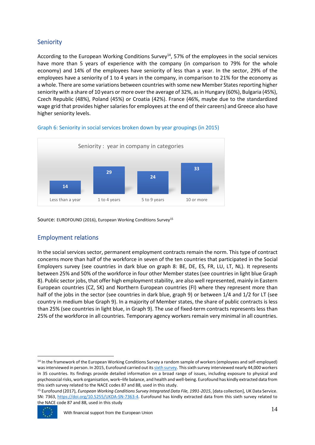## <span id="page-14-0"></span>Seniority

According to the European Working Conditions Survey<sup>14</sup>, 57% of the employees in the social services have more than 5 years of experience with the company (in comparison to 79% for the whole economy) and 14% of the employees have seniority of less than a year. In the sector, 29% of the employees have a seniority of 1 to 4 years in the company, in comparison to 21% for the economy as a whole. There are some variations between countries with some new Member States reporting higher seniority with a share of 10 years or more over the average of 32%, as in Hungary (60%), Bulgaria (45%), Czech Republic (48%), Poland (45%) or Croatia (42%). France (46%, maybe due to the standardized wage grid that provides higher salaries for employees at the end of their careers) and Greece also have higher seniority levels.



#### Graph 6: Seniority in social services broken down by year groupings (in 2015)

Source: EUROFOUND (2016), European Working Conditions Survey<sup>15</sup>

## <span id="page-14-1"></span>Employment relations

In the social services sector, permanent employment contracts remain the norm. This type of contract concerns more than half of the workforce in seven of the ten countries that participated in the Social Employers survey (see countries in dark blue on graph 8: BE, DE, ES, FR, LU, LT, NL). It represents between 25% and 50% of the workforce in four other Member states (see countries in light blue Graph 8). Public sector jobs, that offer high employment stability, are also well represented, mainly in Eastern European countries (CZ, SK) and Northern European countries (FI) where they represent more than half of the jobs in the sector (see countries in dark blue, graph 9) or between 1/4 and 1/2 for LT (see country in medium blue Graph 9). In a majority of Member states, the share of public contracts is less than 25% (see countries in light blue, in Graph 9). The use of fixed-term contracts represents less than 25% of the workforce in all countries. Temporary agency workers remain very minimal in all countries.

<sup>15</sup> Eurofound (2017), *European Working Conditions Survey Integrated Data File, 1991-2015*, [data collection], UK Data Service. SN: 7363, [https://doi.org/10.5255/UKDA-SN-7363-4.](https://doi.org/10.5255/UKDA-SN-7363-4) Eurofound has kindly extracted data from this sixth survey related to the NACE code 87 and 88, used in this study



<sup>&</sup>lt;sup>14</sup> In the framework of the European Working Conditions Survey a random sample of workers (employees and self-employed) wasinterviewed in person. In 2015, Eurofound carried out it[s sixth survey.](https://www.eurofound.europa.eu/surveys/european-working-conditions-surveys/sixth-european-working-conditions-survey-2015) This sixth survey interviewed nearly 44,000 workers in 35 countries. Its findings provide detailed information on a broad range of issues, including exposure to physical and psychosocial risks, work organisation, work–life balance, and health and well-being. Eurofound has kindly extracted data from this sixth survey related to the NACE codes 87 and 88, used in this study.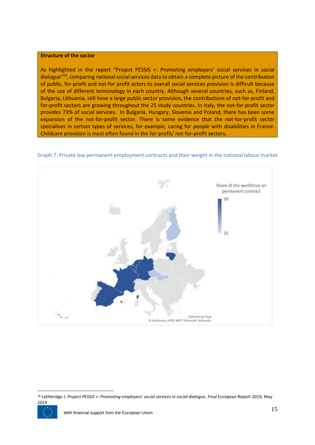#### **Structure of the sector**

As highlighted in the report "Project PESSIS +: Promoting employers' social services in social dialogue"<sup>16</sup> , comparing national social services data to obtain a complete picture of the contribution of public, for-profit and not-for profit actors to overall social services provision is difficult because of the use of different terminology in each country. Although several countries, such as, Finland, Bulgaria, Lithuania, still have a large public sector provision, the contributions of not-for-profit and for-profit sectors are growing throughout the 25 study countries. In Italy, the not-for-profit sector provides 73% of social services. In Bulgaria, Hungary, Slovenia and Poland, there has been some expansion of the not-for-profit sector. There is some evidence that the not-for-profit sector specialises in certain types of services, for example, caring for people with disabilities in France. Childcare provision is most often found in the for-profit/ not-for-profit sectors.



#### Graph 7: Private law permanent employment contracts and their weight in the national labour market

<sup>16</sup> Lethbridge J. *Project PESSIS +: Promoting employers' social services in social dialogue*, Final European Report 2019, May 2019

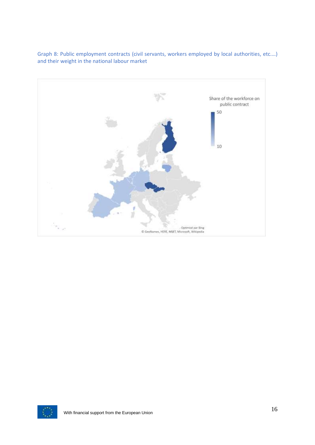

Graph 8: Public employment contracts (civil servants, workers employed by local authorities, etc.…) and their weight in the national labour market

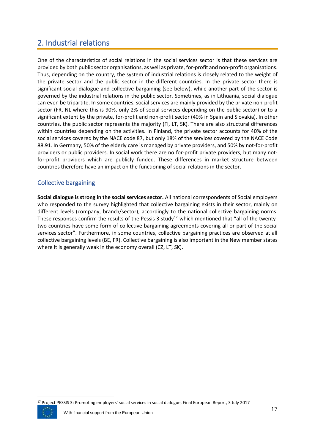# <span id="page-17-0"></span>2. Industrial relations

One of the characteristics of social relations in the social services sector is that these services are provided by both public sector organisations, as well as private, for-profit and non-profit organisations. Thus, depending on the country, the system of industrial relations is closely related to the weight of the private sector and the public sector in the different countries. In the private sector there is significant social dialogue and collective bargaining (see below), while another part of the sector is governed by the industrial relations in the public sector. Sometimes, as in Lithuania, social dialogue can even be tripartite. In some countries, social services are mainly provided by the private non-profit sector (FR, NL where this is 90%, only 2% of social services depending on the public sector) or to a significant extent by the private, for-profit and non-profit sector (40% in Spain and Slovakia). In other countries, the public sector represents the majority (FI, LT, SK). There are also structural differences within countries depending on the activities. In Finland, the private sector accounts for 40% of the social services covered by the NACE code 87, but only 18% of the services covered by the NACE Code 88.91. In Germany, 50% of the elderly care is managed by private providers, and 50% by not-for-profit providers or public providers. In social work there are no for-profit private providers, but many notfor-profit providers which are publicly funded. These differences in market structure between countries therefore have an impact on the functioning of social relations in the sector.

## <span id="page-17-1"></span>Collective bargaining

**Social dialogue is strong in the social services sector.** All national correspondents of Social employers who responded to the survey highlighted that collective bargaining exists in their sector, mainly on different levels (company, branch/sector), accordingly to the national collective bargaining norms. These responses confirm the results of the Pessis 3 study<sup>17</sup> which mentioned that "all of the twentytwo countries have some form of collective bargaining agreements covering all or part of the social services sector". Furthermore, in some countries, collective bargaining practices are observed at all collective bargaining levels (BE, FR). Collective bargaining is also important in the New member states where it is generally weak in the economy overall (CZ, LT, SK).



<sup>&</sup>lt;sup>17</sup> Project PESSIS 3: Promoting employers' social services in social dialogue, Final European Report, 3 July 2017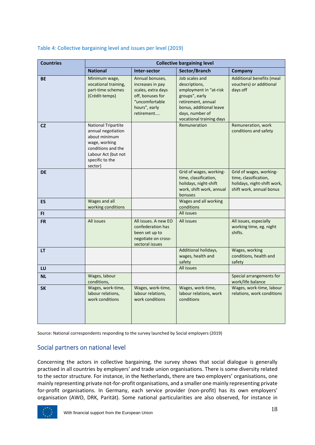| <b>Countries</b> | <b>Collective bargaining level</b>                                                                                                                            |                                                                                                                                |                                                                                                                                                                             |                                                                                                             |  |  |  |  |  |  |
|------------------|---------------------------------------------------------------------------------------------------------------------------------------------------------------|--------------------------------------------------------------------------------------------------------------------------------|-----------------------------------------------------------------------------------------------------------------------------------------------------------------------------|-------------------------------------------------------------------------------------------------------------|--|--|--|--|--|--|
|                  | <b>National</b>                                                                                                                                               | Inter-sector                                                                                                                   | Sector/Branch                                                                                                                                                               | Company                                                                                                     |  |  |  |  |  |  |
| <b>BE</b>        | Minimum wage,<br>vocational training,<br>part-time schemes<br>(Crédit-temps)                                                                                  | Annual bonuses,<br>increases in pay<br>scales, extra days<br>off, bonuses for<br>"uncomfortable<br>hours", early<br>retirement | Job scales and<br>descriptions,<br>employment in "at-risk<br>groups", early<br>retirement, annual<br>bonus, additional leave<br>days, number of<br>vocational training days | Additional benefits (meal<br>vouchers) or additional<br>days off                                            |  |  |  |  |  |  |
| <b>CZ</b>        | <b>National Tripartite</b><br>annual negotiation<br>about minimum<br>wage, working<br>conditions and the<br>Labour Act (but not<br>specific to the<br>sector) |                                                                                                                                | Remuneration                                                                                                                                                                | Remuneration, work<br>conditions and safety                                                                 |  |  |  |  |  |  |
| <b>DE</b>        |                                                                                                                                                               |                                                                                                                                | Grid of wages, working-<br>time, classification,<br>holidays, night-shift<br>work, shift work, annual<br>bonuses                                                            | Grid of wages, working-<br>time, classification,<br>holidays, night-shift work,<br>shift work, annual bonus |  |  |  |  |  |  |
| ES               | Wages and all<br>working conditions                                                                                                                           |                                                                                                                                | Wages and all working<br>conditions                                                                                                                                         |                                                                                                             |  |  |  |  |  |  |
| <b>FI</b>        |                                                                                                                                                               |                                                                                                                                | All issues                                                                                                                                                                  |                                                                                                             |  |  |  |  |  |  |
| <b>FR</b>        | All issues                                                                                                                                                    | All issues. A new EO<br>confederation has<br>been set up to<br>negotiate on cross-<br>sectoral issues                          | All issues                                                                                                                                                                  | All issues, especially<br>working time, eg. night<br>shifts.                                                |  |  |  |  |  |  |
| LT               |                                                                                                                                                               |                                                                                                                                | Additional holidays,<br>wages, health and<br>safety                                                                                                                         | Wages, working<br>conditions, health and<br>safety                                                          |  |  |  |  |  |  |
| LU               |                                                                                                                                                               |                                                                                                                                | All issues                                                                                                                                                                  |                                                                                                             |  |  |  |  |  |  |
| <b>NL</b>        | Wages, labour<br>conditions,                                                                                                                                  |                                                                                                                                |                                                                                                                                                                             | Special arrangements for<br>work/life balance                                                               |  |  |  |  |  |  |
| <b>SK</b>        | Wages, work-time,<br>labour relations,<br>work conditions                                                                                                     | Wages, work-time,<br>labour relations,<br>work conditions                                                                      | Wages, work-time,<br>labour relations, work<br>conditions                                                                                                                   | Wages, work-time, labour<br>relations, work conditions                                                      |  |  |  |  |  |  |

## Table 4: Collective bargaining level and issues per level (2019)

Source: National correspondents responding to the survey launched by Social employers (2019)

## <span id="page-18-0"></span>Social partners on national level

Concerning the actors in collective bargaining, the survey shows that social dialogue is generally practised in all countries by employers' and trade union organisations. There is some diversity related to the sector structure. For instance, in the Netherlands, there are two employers' organisations, one mainly representing private not-for-profit organisations, and a smaller one mainly representing private for-profit organisations. In Germany, each service provider (non-profit) has its own employers' organisation (AWO, DRK, Parität). Some national particularities are also observed, for instance in

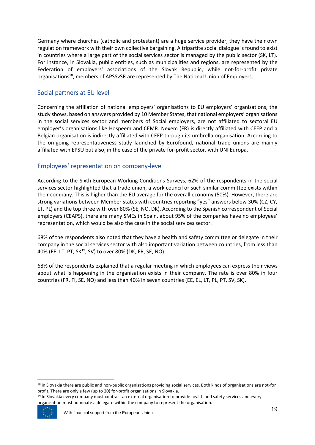Germany where churches (catholic and protestant) are a huge service provider, they have their own regulation framework with their own collective bargaining. A tripartite social dialogue is found to exist in countries where a large part of the social services sector is managed by the public sector (SK, LT). For instance, in Slovakia, public entities, such as municipalities and regions, are represented by the Federation of employers' associations of the Slovak Republic, while not-for-profit private organisations<sup>18</sup>, members of APSSvSR are represented by The National Union of Employers.

## <span id="page-19-0"></span>Social partners at EU level

Concerning the affiliation of national employers' organisations to EU employers' organisations, the study shows, based on answers provided by 10 Member States, that national employers' organisations in the social services sector and members of Social employers, are not affiliated to sectoral EU employer's organisations like Hospeem and CEMR. Nexem (FR) is directly affiliated with CEEP and a Belgian organisation is indirectly affiliated with CEEP through its umbrella organisation. According to the on-going representativeness study launched by Eurofound, national trade unions are mainly affiliated with EPSU but also, in the case of the private for-profit sector, with UNI Europa.

## <span id="page-19-1"></span>Employees' representation on company-level

According to the Sixth European Working Conditions Surveys, 62% of the respondents in the social services sector highlighted that a trade union, a work council or such similar committee exists within their company. This is higher than the EU average for the overall economy (50%). However, there are strong variations between Member states with countries reporting "yes" answers below 30% (CZ, CY, LT, PL) and the top three with over 80% (SE, NO, DK). According to the Spanish correspondent of Social employers (CEAPS), there are many SMEs in Spain, about 95% of the companies have no employees' representation, which would be also the case in the social services sector.

68% of the respondents also noted that they have a health and safety committee or delegate in their company in the social services sector with also important variation between countries, from less than 40% (EE, LT, PT, SK<sup>19</sup>, SV) to over 80% (DK, FR, SE, NO).

68% of the respondents explained that a regular meeting in which employees can express their views about what is happening in the organisation exists in their company. The rate is over 80% in four countries (FR, FI, SE, NO) and less than 40% in seven countries (EE, EL, LT, PL, PT, SV, SK).

<sup>&</sup>lt;sup>19</sup> In Slovakia every company must contract an external organisation to provide health and safety services and every organisation must nominate a delegate within the company to represent the organisation.



<sup>&</sup>lt;sup>18</sup> in Slovakia there are public and non-public organisations providing social services. Both kinds of organisations are not-for profit. There are only a few (up to 20) for-profit organisations in Slovakia.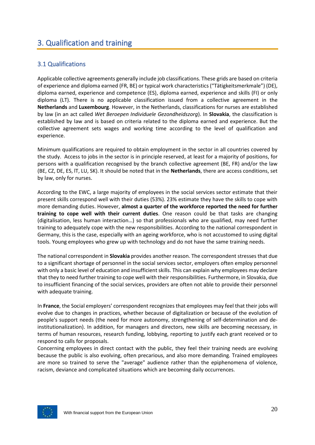# <span id="page-20-0"></span>3. Qualification and training

## <span id="page-20-1"></span>3.1 Qualifications

Applicable collective agreements generally include job classifications. These grids are based on criteria of experience and diploma earned (FR, BE) or typical work characteristics ("Tätigkeitsmerkmale") (DE), diploma earned, experience and competence (ES), diploma earned, experience and skills (FI) or only diploma (LT). There is no applicable classification issued from a collective agreement in the **Netherlands** and **Luxembourg**. However, in the Netherlands, classifications for nurses are established by law (in an act called *Wet Beroepen Individuele Gezondheidszorg*). In **Slovakia**, the classification is established by law and is based on criteria related to the diploma earned and experience. But the collective agreement sets wages and working time according to the level of qualification and experience.

Minimum qualifications are required to obtain employment in the sector in all countries covered by the study. Access to jobs in the sector is in principle reserved, at least for a majority of positions, for persons with a qualification recognised by the branch collective agreement (BE, FR) and/or the law (BE, CZ, DE, ES, lT, LU, SK). It should be noted that in the **Netherlands**, there are access conditions, set by law, only for nurses.

According to the EWC, a large majority of employees in the social services sector estimate that their present skills correspond well with their duties (53%). 23% estimate they have the skills to cope with more demanding duties. However, **almost a quarter of the workforce reported the need for further training to cope well with their current duties**. One reason could be that tasks are changing (digitalisation, less human interaction…) so that professionals who are qualified, may need further training to adequately cope with the new responsibilities. According to the national correspondent in Germany, this is the case, especially with an ageing workforce, who is not accustomed to using digital tools. Young employees who grew up with technology and do not have the same training needs.

The national correspondent in **Slovakia** provides another reason. The correspondent stresses that due to a significant shortage of personnel in the social services sector, employers often employ personnel with only a basic level of education and insufficient skills. This can explain why employees may declare that they to need further training to cope well with their responsibilities. Furthermore, in Slovakia, due to insufficient financing of the social services, providers are often not able to provide their personnel with adequate training.

In **France**, the Social employers' correspondent recognizes that employees may feel that their jobs will evolve due to changes in practices, whether because of digitalization or because of the evolution of people's support needs (the need for more autonomy, strengthening of self-determination and deinstitutionalization). In addition, for managers and directors, new skills are becoming necessary, in terms of human resources, research funding, lobbying, reporting to justify each grant received or to respond to calls for proposals.

Concerning employees in direct contact with the public, they feel their training needs are evolving because the public is also evolving, often precarious, and also more demanding. Trained employees are more so trained to serve the "average" audience rather than the epiphenomena of violence, racism, deviance and complicated situations which are becoming daily occurrences.

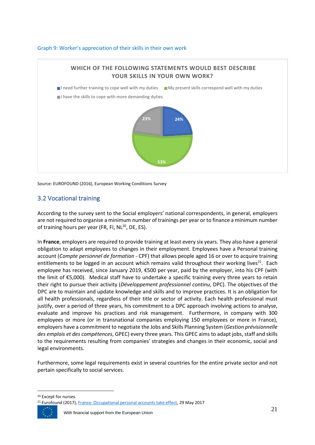#### Graph 9: Worker's appreciation of their skills in their own work



Source: EUROFOUND (2016), European Working Conditions Survey

## <span id="page-21-0"></span>3.2 Vocational training

According to the survey sent to the Social employers' national correspondents, in general, employers are not required to organise a minimum number of trainings per year or to finance a minimum number of training hours per year (FR, FI, NL<sup>20</sup>, DE, ES).

In **France**, employers are required to provide training at least every six years. They also have a general obligation to adapt employees to changes in their employment. Employees have a Personal training account (*Compte personnel de formation* - CPF) that allows people aged 16 or over to acquire training entitlements to be logged in an account which remains valid throughout their working lives<sup>21</sup>. Each employee has received, since January 2019, €500 per year, paid by the employer, into his CPF (with the limit of €5,000). Medical staff have to undertake a specific training every three years to retain their right to pursue their activity (*Développement professionnel continu*, DPC). The objectives of the DPC are to maintain and update knowledge and skills and to improve practices. It is an obligation for all health professionals, regardless of their title or sector of activity. Each health professional must justify, over a period of three years, his commitment to a DPC approach involving actions to analyse, evaluate and improve his practices and risk management. Furthermore, in company with 300 employees or more (or in transnational companies employing 150 employees or more in France), employers have a commitment to negotiate the Jobs and Skills Planning System (*Gestion prévisionnelle des emplois et des compétences*, GPEC) every three years. This GPEC aims to adapt jobs, staff and skills to the requirements resulting from companies' strategies and changes in their economic, social and legal environments.

Furthermore, some legal requirements exist in several countries for the entire private sector and not pertain specifically to social services.

<sup>&</sup>lt;sup>21</sup> Eurofound (2017)[, France: Occupational personal accounts take effect,](https://www.eurofound.europa.eu/publications/article/2017/france-occupational-personal-accounts-take-effect) 29 May 2017



<sup>20</sup> Except for nurses.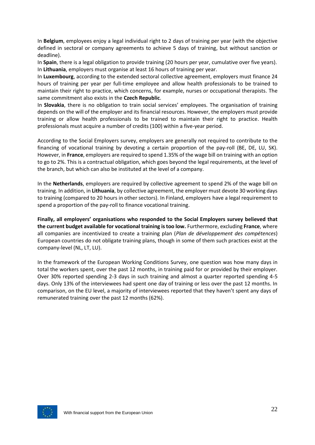In **Belgium**, employees enjoy a legal individual right to 2 days of training per year (with the objective defined in sectoral or company agreements to achieve 5 days of training, but without sanction or deadline).

In **Spain**, there is a legal obligation to provide training (20 hours per year, cumulative over five years). In **Lithuania**, employers must organise at least 16 hours of training per year.

In **Luxembourg**, according to the extended sectoral collective agreement, employers must finance 24 hours of training per year per full-time employee and allow health professionals to be trained to maintain their right to practice, which concerns, for example, nurses or occupational therapists. The same commitment also exists in the **Czech Republic**.

In **Slovakia**, there is no obligation to train social services' employees. The organisation of training depends on the will of the employer and its financial resources. However, the employers must provide training or allow health professionals to be trained to maintain their right to practice. Health professionals must acquire a number of credits (100) within a five-year period.

According to the Social Employers survey, employers are generally not required to contribute to the financing of vocational training by devoting a certain proportion of the pay-roll (BE, DE, LU, SK). However, in **France**, employers are required to spend 1.35% of the wage bill on training with an option to go to 2%. This is a contractual obligation, which goes beyond the legal requirements, at the level of the branch, but which can also be instituted at the level of a company.

In the **Netherlands**, employers are required by collective agreement to spend 2% of the wage bill on training. In addition, in **Lithuania**, by collective agreement, the employer must devote 30 working days to training (compared to 20 hours in other sectors). In Finland, employers have a legal requirement to spend a proportion of the pay-roll to finance vocational training.

**Finally, all employers' organisations who responded to the Social Employers survey believed that the current budget available for vocational training is too low.** Furthermore, excluding **France**, where all companies are incentivized to create a training plan (*Plan de développement des compétences*) European countries do not obligate training plans, though in some of them such practices exist at the company-level (NL, LT, LU).

In the framework of the European Working Conditions Survey, one question was how many days in total the workers spent, over the past 12 months, in training paid for or provided by their employer. Over 30% reported spending 2-3 days in such training and almost a quarter reported spending 4-5 days. Only 13% of the interviewees had spent one day of training or less over the past 12 months. In comparison, on the EU level, a majority of interviewees reported that they haven't spent any days of remunerated training over the past 12 months (62%).

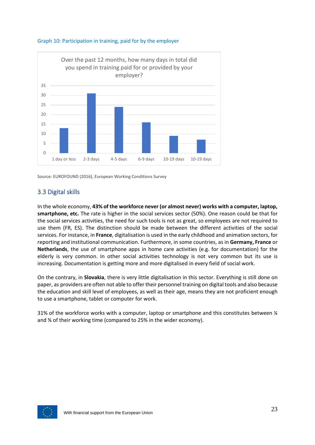



## <span id="page-23-0"></span>3.3 Digital skills

In the whole economy, **43% of the workforce never (or almost never) works with a computer, laptop, smartphone, etc.** The rate is higher in the social services sector (50%). One reason could be that for the social services activities, the need for such tools is not as great, so employees are not required to use them (FR, ES). The distinction should be made between the different activities of the social services. For instance, in **France**, digitalisation is used in the early childhood and animation sectors, for reporting and institutional communication. Furthermore, in some countries, as in **Germany, France** or **Netherlands**, the use of smartphone apps in home care activities (e.g. for documentation) for the elderly is very common. In other social activities technology is not very common but its use is increasing. Documentation is getting more and more digitalised in every field of social work.

On the contrary, in **Slovakia**, there is very little digitalisation in this sector. Everything is still done on paper, as providers are often not able to offer their personnel training on digital tools and also because the education and skill level of employees, as well as their age, means they are not proficient enough to use a smartphone, tablet or computer for work.

31% of the workforce works with a computer, laptop or smartphone and this constitutes between ¼ and ¾ of their working time (compared to 25% in the wider economy).

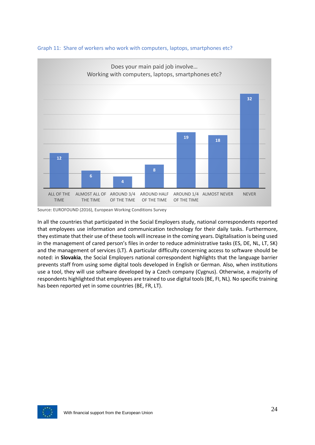



In all the countries that participated in the Social Employers study, national correspondents reported that employees use information and communication technology for their daily tasks. Furthermore, they estimate that their use of these tools will increase in the coming years. Digitalisation is being used in the management of cared person's files in order to reduce administrative tasks (ES, DE, NL, LT, SK) and the management of services (LT). A particular difficulty concerning access to software should be noted: in **Slovakia**, the Social Employers national correspondent highlights that the language barrier prevents staff from using some digital tools developed in English or German. Also, when institutions use a tool, they will use software developed by a Czech company (Cygnus). Otherwise, a majority of respondents highlighted that employees are trained to use digital tools (BE, FI, NL). No specific training has been reported yet in some countries (BE, FR, LT).



Source: EUROFOUND (2016), European Working Conditions Survey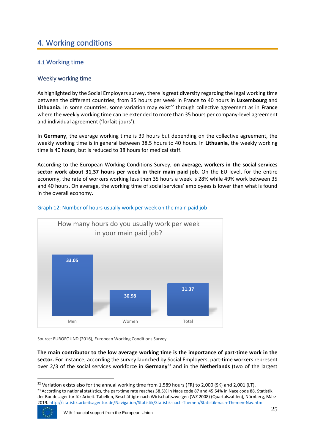# <span id="page-25-0"></span>4. Working conditions

## <span id="page-25-1"></span>4.1 Working time

## <span id="page-25-2"></span>Weekly working time

As highlighted by the Social Employers survey, there is great diversity regarding the legal working time between the different countries, from 35 hours per week in France to 40 hours in **Luxembourg** and Lithuania. In some countries, some variation may exist<sup>22</sup> through collective agreement as in France where the weekly working time can be extended to more than 35 hours per company-level agreement and individual agreement ('forfait-jours').

In **Germany**, the average working time is 39 hours but depending on the collective agreement, the weekly working time is in general between 38.5 hours to 40 hours. In **Lithuania**, the weekly working time is 40 hours, but is reduced to 38 hours for medical staff.

According to the European Working Conditions Survey, **on average, workers in the social services sector work about 31,37 hours per week in their main paid job**. On the EU level, for the entire economy, the rate of workers working less then 35 hours a week is 28% while 49% work between 35 and 40 hours. On average, the working time of social services' employees is lower than what is found in the overall economy.



### Graph 12: Number of hours usually work per week on the main paid job

Source: EUROFOUND (2016), European Working Conditions Survey

**The main contributor to the low average working time is the importance of part-time work in the sector.** For instance, according the survey launched by Social Employers, part-time workers represent over 2/3 of the social services workforce in **Germany**<sup>23</sup> and in the **Netherlands** (two of the largest

 $22$  Variation exists also for the annual working time from 1,589 hours (FR) to 2,000 (SK) and 2,001 (LT). <sup>23</sup> According to national statistics, the part-time rate reaches 58.5% in Nace code 87 and 45.54% in Nace code 88. Statistik der Bundesagentur für Arbeit. Tabellen, Beschäftigte nach Wirtschaftszweigen (WZ 2008) (Quartalszahlen), Nürnberg, März 2019[. http://statistik.arbeitsagentur.de/Navigation/Statistik/Statistik-nach-Themen/Statistik-nach-Themen-Nav.html](http://statistik.arbeitsagentur.de/Navigation/Statistik/Statistik-nach-Themen/Statistik-nach-Themen-Nav.html)

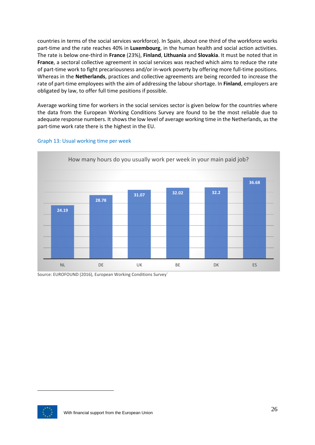countries in terms of the social services workforce). In Spain, about one third of the workforce works part-time and the rate reaches 40% in **Luxembourg**, in the human health and social action activities. The rate is below one-third in **France** (23%), **Finland**, **Lithuania** and **Slovakia**. It must be noted that in **France**, a sectoral collective agreement in social services was reached which aims to reduce the rate of part-time work to fight precariousness and/or in-work poverty by offering more full-time positions. Whereas in the **Netherlands**, practices and collective agreements are being recorded to increase the rate of part-time employees with the aim of addressing the labour shortage. In **Finland**, employers are obligated by law, to offer full time positions if possible.

Average working time for workers in the social services sector is given below for the countries where the data from the European Working Conditions Survey are found to be the most reliable due to adequate response numbers. It shows the low level of average working time in the Netherlands, as the part-time work rate there is the highest in the EU.



#### Graph 13: Usual working time per week

Source: EUROFOUND (2016), European Working Conditions Survey`

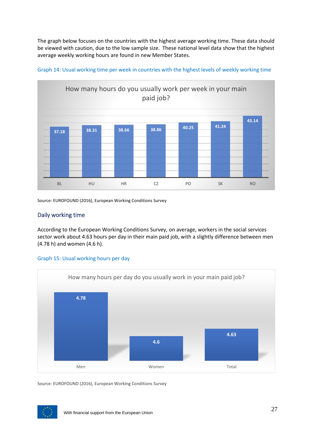The graph below focuses on the countries with the highest average working time. These data should be viewed with caution, due to the low sample size. These national level data show that the highest average weekly working hours are found in new Member States.





Source: EUROFOUND (2016), European Working Conditions Survey

## <span id="page-27-0"></span>Daily working time

According to the European Working Conditions Survey, on average, workers in the social services sector work about 4.63 hours per day in their main paid job, with a slightly difference between men (4.78 h) and women (4.6 h).





Source: EUROFOUND (2016), European Working Conditions Survey

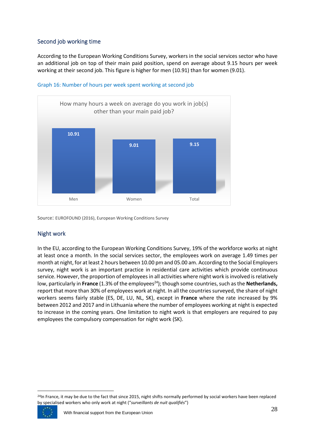## <span id="page-28-0"></span>Second job working time

According to the European Working Conditions Survey, workers in the social services sector who have an additional job on top of their main paid position, spend on average about 9.15 hours per week working at their second job. This figure is higher for men (10.91) than for women (9.01).



#### Graph 16: Number of hours per week spent working at second job

Source: EUROFOUND (2016), European Working Conditions Survey

## <span id="page-28-1"></span>Night work

In the EU, according to the European Working Conditions Survey, 19% of the workforce works at night at least once a month. In the social services sector, the employees work on average 1.49 times per month at night, for at least 2 hours between 10.00 pm and 05.00 am. According to the Social Employers survey, night work is an important practice in residential care activities which provide continuous service. However, the proportion of employees in all activities where night work is involved is relatively low, particularly in **France** (1.3% of the employees<sup>24</sup>); though some countries, such as the **Netherlands**, report that more than 30% of employees work at night. In all the countries surveyed, the share of night workers seems fairly stable (ES, DE, LU, NL, SK), except in **France** where the rate increased by 9% between 2012 and 2017 and in Lithuania where the number of employees working at night is expected to increase in the coming years. One limitation to night work is that employers are required to pay employees the compulsory compensation for night work (SK).

<sup>&</sup>lt;sup>24</sup>In France, it may be due to the fact that since 2015, night shifts normally performed by social workers have been replaced by specialised workers who only work at night ("*surveillants de nuit qualifiés*")

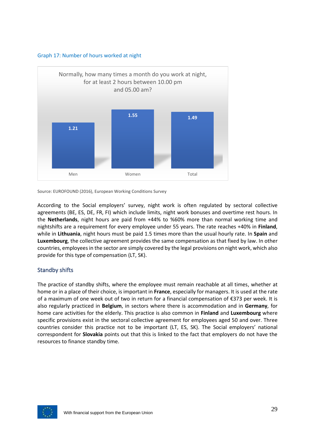



According to the Social employers' survey, night work is often regulated by sectoral collective agreements (BE, ES, DE, FR, FI) which include limits, night work bonuses and overtime rest hours. In the **Netherlands**, night hours are paid from +44% to %60% more than normal working time and nightshifts are a requirement for every employee under 55 years. The rate reaches +40% in **Finland**, while in **Lithuania**, night hours must be paid 1.5 times more than the usual hourly rate. In **Spain** and **Luxembourg**, the collective agreement provides the same compensation as that fixed by law. In other countries, employees in the sector are simply covered by the legal provisions on night work, which also provide for this type of compensation (LT, SK).

### <span id="page-29-0"></span>Standby shifts

The practice of standby shifts, where the employee must remain reachable at all times, whether at home or in a place of their choice, is important in **France**, especially for managers. It is used at the rate of a maximum of one week out of two in return for a financial compensation of €373 per week. It is also regularly practiced in **Belgium**, in sectors where there is accommodation and in **Germany**, for home care activities for the elderly. This practice is also common in **Finland** and **Luxembourg** where specific provisions exist in the sectoral collective agreement for employees aged 50 and over. Three countries consider this practice not to be important (LT, ES, SK). The Social employers' national correspondent for **Slovakia** points out that this is linked to the fact that employers do not have the resources to finance standby time.

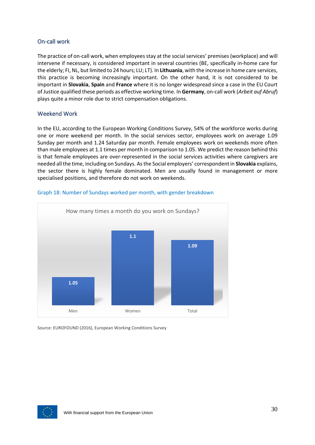## <span id="page-30-0"></span>On-call work

The practice of on-call work, when employees stay at the social services' premises (workplace) and will intervene if necessary, is considered important in several countries (BE, specifically in-home care for the elderly; FI, NL, but limited to 24 hours; LU; LT). In **Lithuania**, with the increase in home care services, this practice is becoming increasingly important. On the other hand, it is not considered to be important in **Slovakia**, **Spain** and **France** where it is no longer widespread since a case in the EU Court of Justice qualified these periods as effective working time. In **Germany**, on-call work (*Arbeit auf Abruf*) plays quite a minor role due to strict compensation obligations.

## <span id="page-30-1"></span>Weekend Work

In the EU, according to the European Working Conditions Survey, 54% of the workforce works during one or more weekend per month. In the social services sector, employees work on average 1.09 Sunday per month and 1.24 Saturday par month. Female employees work on weekends more often than male employees at 1.1 times per month in comparison to 1.05. We predict the reason behind this is that female employees are over-represented in the social services activities where caregivers are needed all the time, including on Sundays. As the Social employers' correspondent in **Slovakia** explains, the sector there is highly female dominated. Men are usually found in management or more specialised positions, and therefore do not work on weekends.



### Graph 18: Number of Sundays worked per month, with gender breakdown

Source: EUROFOUND (2016), European Working Conditions Survey

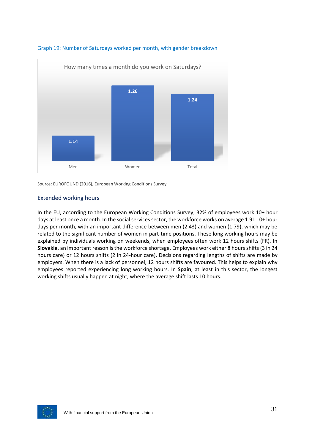

#### Graph 19: Number of Saturdays worked per month, with gender breakdown

Source: EUROFOUND (2016), European Working Conditions Survey

## <span id="page-31-0"></span>Extended working hours

In the EU, according to the European Working Conditions Survey, 32% of employees work 10+ hour days at least once a month. In the social services sector, the workforce works on average 1.91 10+ hour days per month, with an important difference between men (2.43) and women (1.79), which may be related to the significant number of women in part-time positions. These long working hours may be explained by individuals working on weekends, when employees often work 12 hours shifts (FR). In **Slovakia**, an important reason is the workforce shortage. Employees work either 8 hours shifts (3 in 24 hours care) or 12 hours shifts (2 in 24-hour care). Decisions regarding lengths of shifts are made by employers. When there is a lack of personnel, 12 hours shifts are favoured. This helps to explain why employees reported experiencing long working hours. In **Spain**, at least in this sector, the longest working shifts usually happen at night, where the average shift lasts 10 hours.

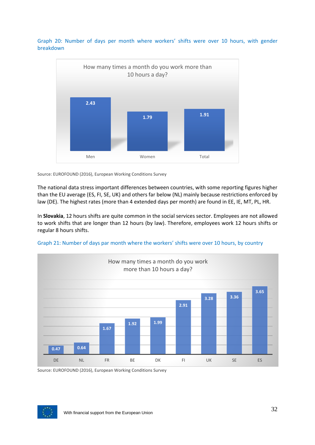Graph 20: Number of days per month where workers' shifts were over 10 hours, with gender breakdown



Source: EUROFOUND (2016), European Working Conditions Survey

The national data stress important differences between countries, with some reporting figures higher than the EU average (ES, FI, SE, UK) and others far below (NL) mainly because restrictions enforced by law (DE). The highest rates (more than 4 extended days per month) are found in EE, IE, MT, PL, HR.

In **Slovakia**, 12 hours shifts are quite common in the social services sector. Employees are not allowed to work shifts that are longer than 12 hours (by law). Therefore, employees work 12 hours shifts or regular 8 hours shifts.





Source: EUROFOUND (2016), European Working Conditions Survey

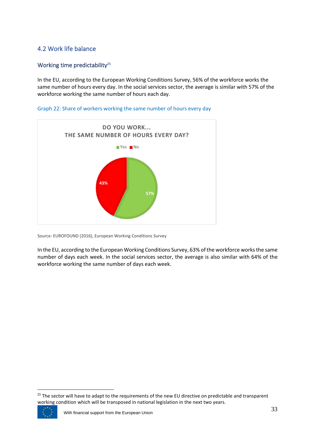## <span id="page-33-0"></span>4.2 Work life balance

## <span id="page-33-1"></span>Working time predictability**<sup>25</sup>**

In the EU, according to the European Working Conditions Survey, 56% of the workforce works the same number of hours every day. In the social services sector, the average is similar with 57% of the workforce working the same number of hours each day.



#### Graph 22: Share of workers working the same number of hours every day

Source: EUROFOUND (2016), European Working Conditions Survey

In the EU, according to the European Working Conditions Survey, 63% of the workforce worksthe same number of days each week. In the social services sector, the average is also similar with 64% of the workforce working the same number of days each week.

<sup>&</sup>lt;sup>25</sup> The sector will have to adapt to the requirements of the new EU directive on predictable and transparent working condition which will be transposed in national legislation in the next two years.

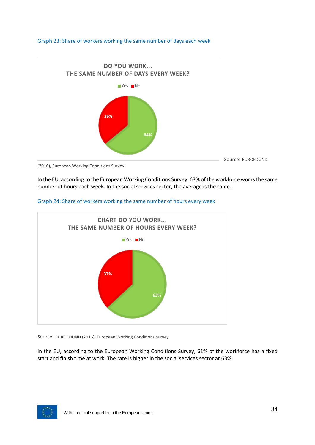#### Graph 23: Share of workers working the same number of days each week



(2016), European Working Conditions Survey

In the EU, according to the European Working Conditions Survey, 63% of the workforce worksthe same number of hours each week. In the social services sector, the average is the same.



#### Graph 24: Share of workers working the same number of hours every week

Source: EUROFOUND (2016), European Working Conditions Survey

In the EU, according to the European Working Conditions Survey, 61% of the workforce has a fixed start and finish time at work. The rate is higher in the social services sector at 63%.

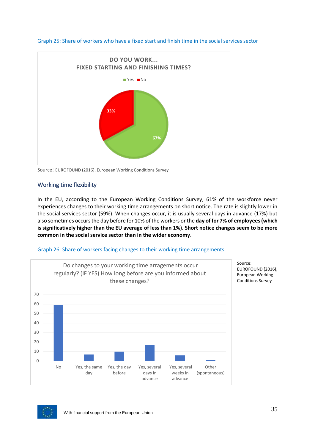



Source: EUROFOUND (2016), European Working Conditions Survey

## <span id="page-35-0"></span>Working time flexibility

In the EU, according to the European Working Conditions Survey, 61% of the workforce never experiences changes to their working time arrangements on short notice. The rate is slightly lower in the social services sector (59%). When changes occur, it is usually several days in advance (17%) but also sometimes occurs the day before for 10% of the workers or the **day of for 7% of employees(which is significatively higher than the EU average of less than 1%). Short notice changes seem to be more common in the social service sector than in the wider economy**.





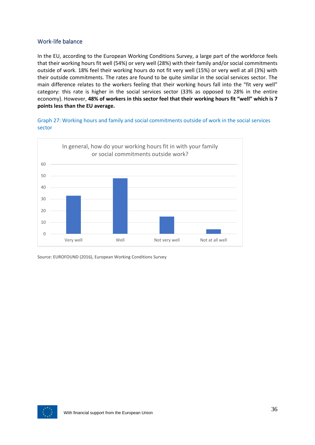## <span id="page-36-0"></span>Work-life balance

In the EU, according to the European Working Conditions Survey, a large part of the workforce feels that their working hours fit well (54%) or very well (28%) with their family and/or social commitments outside of work. 18% feel their working hours do not fit very well (15%) or very well at all (3%) with their outside commitments. The rates are found to be quite similar in the social services sector. The main difference relates to the workers feeling that their working hours fall into the "fit very well" category: this rate is higher in the social services sector (33% as opposed to 28% in the entire economy). However, **48% of workers in this sector feel that their working hours fit "well" which is 7 points less than the EU average.**

Graph 27: Working hours and family and social commitments outside of work in the social services sector



Source: EUROFOUND (2016), European Working Conditions Survey

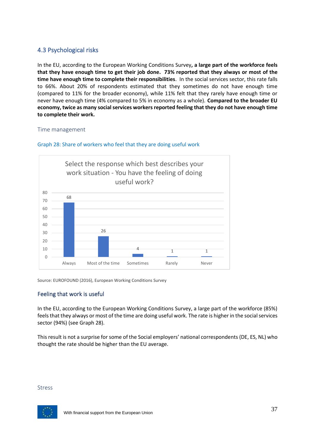## <span id="page-37-0"></span>4.3 Psychological risks

In the EU, according to the European Working Conditions Survey**, a large part of the workforce feels that they have enough time to get their job done. 73% reported that they always or most of the time have enough time to complete their responsibilities**. In the social services sector, this rate falls to 66%. About 20% of respondents estimated that they sometimes do not have enough time (compared to 11% for the broader economy), while 11% felt that they rarely have enough time or never have enough time (4% compared to 5% in economy as a whole). **Compared to the broader EU economy, twice as many social services workers reported feeling that they do not have enough time to complete their work.**

### <span id="page-37-1"></span>Time management



Graph 28: Share of workers who feel that they are doing useful work

Source: EUROFOUND (2016), European Working Conditions Survey

## <span id="page-37-2"></span>Feeling that work is useful

In the EU, according to the European Working Conditions Survey, a large part of the workforce (85%) feels that they always or most of the time are doing useful work. The rate is higher in the social services sector (94%) (see Graph 28).

This result is not a surprise for some of the Social employers' national correspondents (DE, ES, NL) who thought the rate should be higher than the EU average.

#### <span id="page-37-3"></span>Stress

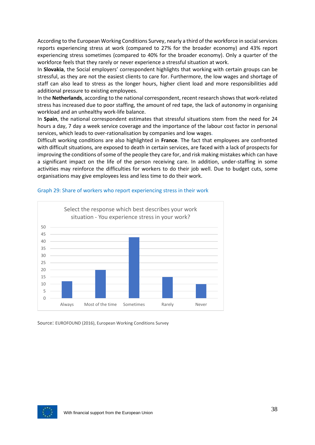According to the European Working Conditions Survey, nearly a third of the workforce in social services reports experiencing stress at work (compared to 27% for the broader economy) and 43% report experiencing stress sometimes (compared to 40% for the broader economy). Only a quarter of the workforce feels that they rarely or never experience a stressful situation at work.

In **Slovakia**, the Social employers' correspondent highlights that working with certain groups can be stressful, as they are not the easiest clients to care for. Furthermore, the low wages and shortage of staff can also lead to stress as the longer hours, higher client load and more responsibilities add additional pressure to existing employees.

In the **Netherlands**, according to the national correspondent, recent research shows that work-related stress has increased due to poor staffing, the amount of red tape, the lack of autonomy in organising workload and an unhealthy work-life balance.

In **Spain**, the national correspondent estimates that stressful situations stem from the need for 24 hours a day, 7 day a week service coverage and the importance of the labour cost factor in personal services, which leads to over-rationalisation by companies and low wages.

Difficult working conditions are also highlighted in **France**. The fact that employees are confronted with difficult situations, are exposed to death in certain services, are faced with a lack of prospects for improving the conditions of some of the people they care for, and risk making mistakes which can have a significant impact on the life of the person receiving care. In addition, under-staffing in some activities may reinforce the difficulties for workers to do their job well. Due to budget cuts, some organisations may give employees less and less time to do their work.



#### Graph 29: Share of workers who report experiencing stress in their work

Source: EUROFOUND (2016), European Working Conditions Survey

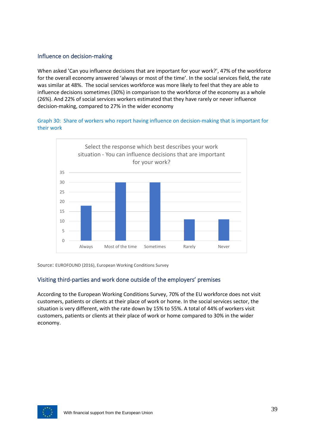## <span id="page-39-0"></span>Influence on decision-making

When asked 'Can you influence decisions that are important for your work?', 47% of the workforce for the overall economy answered 'always or most of the time'. In the social services field, the rate was similar at 48%. The social services workforce was more likely to feel that they are able to influence decisions sometimes (30%) in comparison to the workforce of the economy as a whole (26%). And 22% of social services workers estimated that they have rarely or never influence decision-making, compared to 27% in the wider economy

Graph 30: Share of workers who report having influence on decision-making that is important for their work



Source: EUROFOUND (2016), European Working Conditions Survey

## <span id="page-39-1"></span>Visiting third-parties and work done outside of the employers' premises

According to the European Working Conditions Survey, 70% of the EU workforce does not visit customers, patients or clients at their place of work or home. In the social services sector, the situation is very different, with the rate down by 15% to 55%. A total of 44% of workers visit customers, patients or clients at their place of work or home compared to 30% in the wider economy.

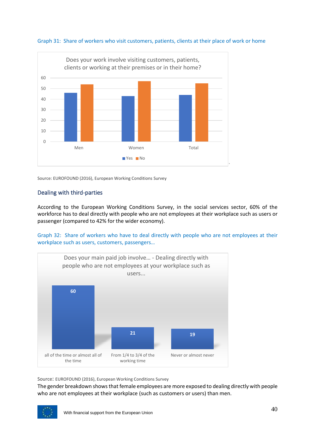



## <span id="page-40-0"></span>Dealing with third-parties

According to the European Working Conditions Survey, in the social services sector, 60% of the workforce has to deal directly with people who are not employees at their workplace such as users or passenger (compared to 42% for the wider economy).

Graph 32: Share of workers who have to deal directly with people who are not employees at their workplace such as users, customers, passengers…



Source: EUROFOUND (2016), European Working Conditions Survey

The gender breakdown shows that female employees are more exposed to dealing directly with people who are not employees at their workplace (such as customers or users) than men.

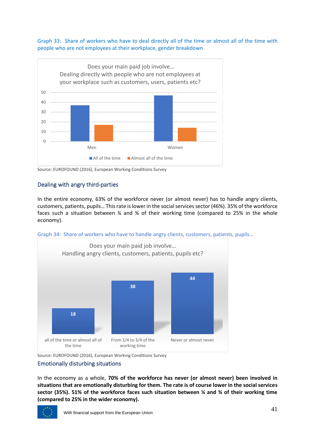#### Graph 33: Share of workers who have to deal directly all of the time or almost all of the time with people who are not employees at their workplace, gender breakdown



Source: EUROFOUND (2016), European Working Conditions Survey

## <span id="page-41-0"></span>Dealing with angry third-parties

In the entire economy, 63% of the workforce never (or almost never) has to handle angry clients, customers, patients, pupils… This rate is lower in the social services sector (46%). 35% of the workforce faces such a situation between  $\frac{1}{4}$  and  $\frac{1}{4}$  of their working time (compared to 25% in the whole economy).





Source: EUROFOUND (2016), European Working Conditions Survey

### <span id="page-41-1"></span>Emotionally disturbing situations

In the economy as a whole, **70% of the workforce has never (or almost never) been involved in situations that are emotionally disturbing for them. The rate is of course lower in the social services sector (35%). 51% of the workforce faces such situation between ¼ and ¾ of their working time (compared to 25% in the wider economy).**

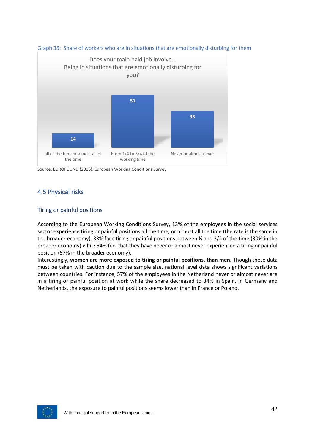



Source: EUROFOUND (2016), European Working Conditions Survey

## <span id="page-42-0"></span>4.5 Physical risks

## <span id="page-42-1"></span>Tiring or painful positions

According to the European Working Conditions Survey, 13% of the employees in the social services sector experience tiring or painful positions all the time, or almost all the time (the rate is the same in the broader economy). 33% face tiring or painful positions between ¼ and 3/4 of the time (30% in the broader economy) while 54% feel that they have never or almost never experienced a tiring or painful position (57% in the broader economy).

Interestingly, **women are more exposed to tiring or painful positions, than men**. Though these data must be taken with caution due to the sample size, national level data shows significant variations between countries. For instance, 57% of the employees in the Netherland never or almost never are in a tiring or painful position at work while the share decreased to 34% in Spain. In Germany and Netherlands, the exposure to painful positions seems lower than in France or Poland.

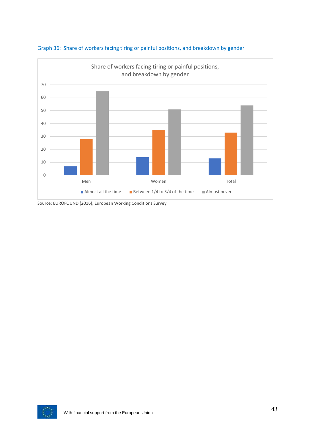



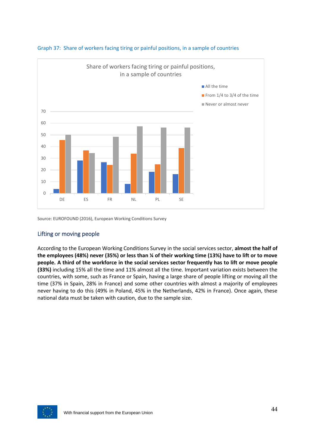



## <span id="page-44-0"></span>Lifting or moving people

According to the European Working Conditions Survey in the social services sector, **almost the half of the employees (48%) never (35%) or less than ¼ of their working time (13%) have to lift or to move people. A third of the workforce in the social services sector frequently has to lift or move people (33%)** including 15% all the time and 11% almost all the time. Important variation exists between the countries, with some, such as France or Spain, having a large share of people lifting or moving all the time (37% in Spain, 28% in France) and some other countries with almost a majority of employees never having to do this (49% in Poland, 45% in the Netherlands, 42% in France). Once again, these national data must be taken with caution, due to the sample size.

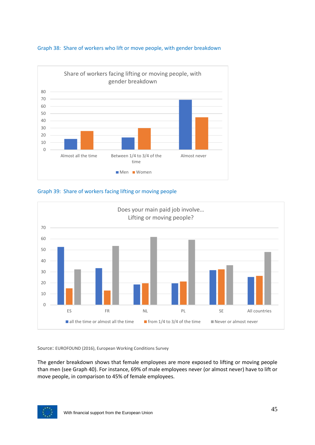







The gender breakdown shows that female employees are more exposed to lifting or moving people than men (see Graph 40). For instance, 69% of male employees never (or almost never) have to lift or move people, in comparison to 45% of female employees.

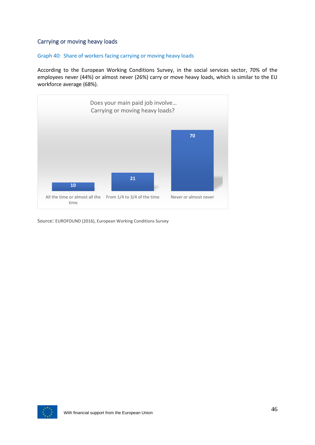## <span id="page-46-0"></span>Carrying or moving heavy loads

#### Graph 40: Share of workers facing carrying or moving heavy loads

According to the European Working Conditions Survey, in the social services sector, 70% of the employees never (44%) or almost never (26%) carry or move heavy loads, which is similar to the EU workforce average (68%).



Source: EUROFOUND (2016), European Working Conditions Survey

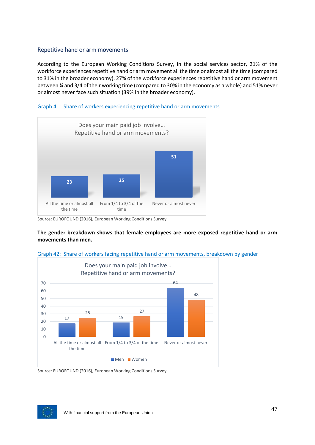## <span id="page-47-0"></span>Repetitive hand or arm movements

According to the European Working Conditions Survey, in the social services sector, 21% of the workforce experiences repetitive hand or arm movement all the time or almost all the time (compared to 31% in the broader economy). 27% of the workforce experiences repetitive hand or arm movement between ¼ and 3/4 of their working time (compared to 30% in the economy as a whole) and 51% never or almost never face such situation (39% in the broader economy).



#### Graph 41: Share of workers experiencing repetitive hand or arm movements

**The gender breakdown shows that female employees are more exposed repetitive hand or arm movements than men.**



#### Graph 42: Share of workers facing repetitive hand or arm movements, breakdown by gender

Source: EUROFOUND (2016), European Working Conditions Survey



Source: EUROFOUND (2016), European Working Conditions Survey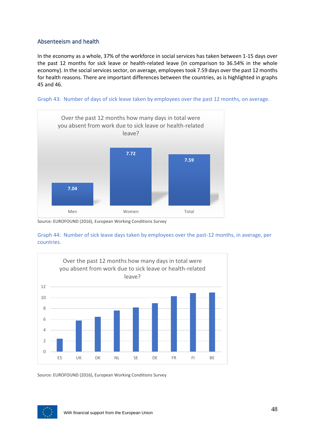## <span id="page-48-0"></span>Absenteeism and health

In the economy as a whole, 37% of the workforce in social services has taken between 1-15 days over the past 12 months for sick leave or health-related leave (in comparison to 36.54% in the whole economy). In the social services sector, on average, employees took 7.59 days over the past 12 months for health reasons. There are important differences between the countries, as is highlighted in graphs 45 and 46.





Source: EUROFOUND (2016), European Working Conditions Survey





Source: EUROFOUND (2016), European Working Conditions Survey

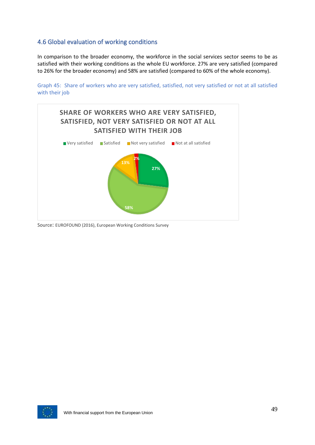## <span id="page-49-0"></span>4.6 Global evaluation of working conditions

In comparison to the broader economy, the workforce in the social services sector seems to be as satisfied with their working conditions as the whole EU workforce. 27% are very satisfied (compared to 26% for the broader economy) and 58% are satisfied (compared to 60% of the whole economy).

Graph 45: Share of workers who are very satisfied, satisfied, not very satisfied or not at all satisfied with their job



Source: EUROFOUND (2016), European Working Conditions Survey

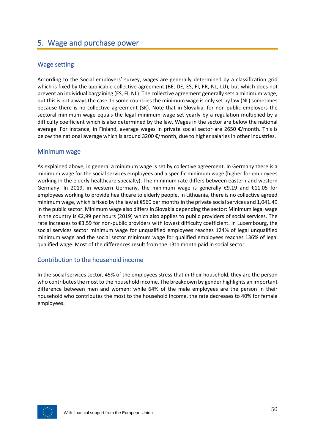# <span id="page-50-0"></span>5. Wage and purchase power

## <span id="page-50-1"></span>Wage setting

According to the Social employers' survey, wages are generally determined by a classification grid which is fixed by the applicable collective agreement (BE, DE, ES, FI, FR, NL, LU), but which does not prevent an individual bargaining (ES, FI, NL). The collective agreement generally sets a minimum wage, but this is not always the case. In some countries the minimum wage is only set by law (NL) sometimes because there is no collective agreement (SK). Note that in Slovakia, for non-public employers the sectoral minimum wage equals the legal minimum wage set yearly by a regulation multiplied by a difficulty coefficient which is also determined by the law. Wages in the sector are below the national average. For instance, in Finland, average wages in private social sector are 2650 €/month. This is below the national average which is around 3200 €/month, due to higher salaries in other industries.

## <span id="page-50-2"></span>Minimum wage

As explained above, in general a minimum wage is set by collective agreement. In Germany there is a minimum wage for the social services employees and a specific minimum wage (higher for employees working in the elderly healthcare specialty). The minimum rate differs between eastern and western Germany. In 2019, in western Germany, the minimum wage is generally €9.19 and €11.05 for employees working to provide healthcare to elderly people. In Lithuania, there is no collective agreed minimum wage, which is fixed by the law at €560 per months in the private social services and 1,041.49 in the public sector. Minimum wage also differs in Slovakia depending the sector: Minimum legal wage in the country is €2,99 per hours (2019) which also applies to public providers of social services. The rate increases to €3.59 for non-public providers with lowest difficulty coefficient. In Luxembourg, the social services sector minimum wage for unqualified employees reaches 124% of legal unqualified minimum wage and the social sector minimum wage for qualified employees reaches 136% of legal qualified wage. Most of the differences result from the 13th month paid in social sector.

## <span id="page-50-3"></span>Contribution to the household income

In the social services sector, 45% of the employees stress that in their household, they are the person who contributes the most to the household income. The breakdown by gender highlights an important difference between men and women: while 64% of the male employees are the person in their household who contributes the most to the household income, the rate decreases to 40% for female employees.

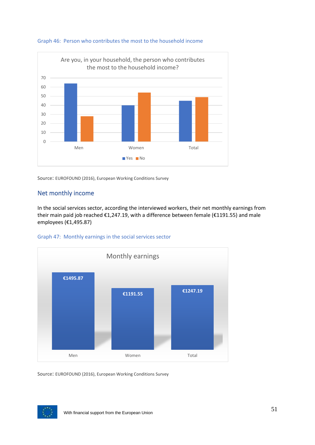

#### Graph 46: Person who contributes the most to the household income

Source: EUROFOUND (2016), European Working Conditions Survey

## <span id="page-51-0"></span>Net monthly income

In the social services sector, according the interviewed workers, their net monthly earnings from their main paid job reached €1,247.19, with a difference between female (€1191.55) and male employees (€1,495.87)





Source: EUROFOUND (2016), European Working Conditions Survey

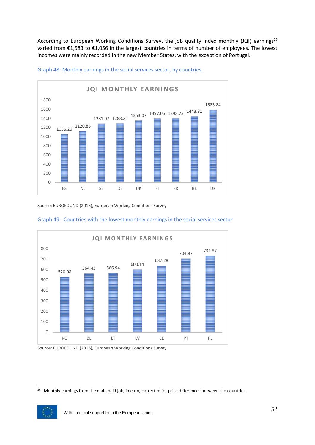According to European Working Conditions Survey, the job quality index monthly (JQI) earnings<sup>26</sup> varied from €1,583 to €1,056 in the largest countries in terms of number of employees. The lowest incomes were mainly recorded in the new Member States, with the exception of Portugal.



Graph 48: Monthly earnings in the social services sector, by countries.

Source: EUROFOUND (2016), European Working Conditions Survey



#### Graph 49: Countries with the lowest monthly earnings in the social services sector

Source: EUROFOUND (2016), European Working Conditions Survey

<sup>&</sup>lt;sup>26</sup> Monthly earnings from the main paid job, in euro, corrected for price differences between the countries.

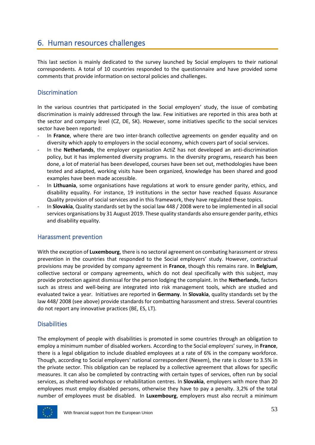## <span id="page-53-0"></span>6. Human resources challenges

This last section is mainly dedicated to the survey launched by Social employers to their national correspondents. A total of 10 countries responded to the questionnaire and have provided some comments that provide information on sectoral policies and challenges.

## <span id="page-53-1"></span>**Discrimination**

In the various countries that participated in the Social employers' study, the issue of combating discrimination is mainly addressed through the law. Few initiatives are reported in this area both at the sector and company level (CZ, DE, SK). However, some initiatives specific to the social services sector have been reported:

- In France, where there are two inter-branch collective agreements on gender equality and on diversity which apply to employers in the social economy, which covers part of social services.
- In the **Netherlands**, the employer organisation ActiZ has not developed an anti-discrimination policy, but it has implemented diversity programs. In the diversity programs, research has been done, a lot of material has been developed, courses have been set out, methodologies have been tested and adapted, working visits have been organized, knowledge has been shared and good examples have been made accessible.
- In **Lithuania**, some organisations have regulations at work to ensure gender parity, ethics, and disability equality. For instance, 19 institutions in the sector have reached Equass Assurance Quality provision of social services and in this framework, they have regulated these topics.
- In **Slovakia**, Quality standards set by the social law 448 / 2008 were to be implemented in all social services organisations by 31 August 2019. These quality standards also ensure gender parity, ethics and disability equality.

## <span id="page-53-2"></span>Harassment prevention

With the exception of **Luxembourg**, there is no sectoral agreement on combating harassment or stress prevention in the countries that responded to the Social employers' study. However, contractual provisions may be provided by company agreement in **France**, though this remains rare. In **Belgium**, collective sectoral or company agreements, which do not deal specifically with this subject, may provide protection against dismissal for the person lodging the complaint. In the **Netherlands**, factors such as stress and well-being are integrated into risk management tools, which are studied and evaluated twice a year. Initiatives are reported in **Germany**. In **Slovakia**, quality standards set by the law 448/ 2008 (see above) provide standards for combatting harassment and stress. Several countries do not report any innovative practices (BE, ES, LT).

## <span id="page-53-3"></span>**Disabilities**

The employment of people with disabilities is promoted in some countries through an obligation to employ a minimum number of disabled workers. According to the Social employers' survey, in **France**, there is a legal obligation to include disabled employees at a rate of 6% in the company workforce. Though, according to Social employers' national correspondent (Nexem), the rate is closer to 3.5% in the private sector. This obligation can be replaced by a collective agreement that allows for specific measures. It can also be completed by contracting with certain types of services, often run by social services, as sheltered workshops or rehabilitation centres. In **Slovakia**, employers with more than 20 employees must employ disabled persons, otherwise they have to pay a penalty. 3,2% of the total number of employees must be disabled. In **Luxembourg**, employers must also recruit a minimum

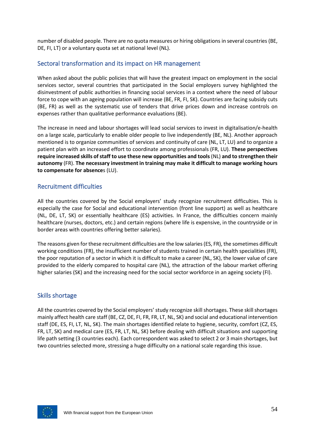number of disabled people. There are no quota measures or hiring obligations in several countries (BE, DE, FI, LT) or a voluntary quota set at national level (NL).

## <span id="page-54-0"></span>Sectoral transformation and its impact on HR management

When asked about the public policies that will have the greatest impact on employment in the social services sector, several countries that participated in the Social employers survey highlighted the disinvestment of public authorities in financing social services in a context where the need of labour force to cope with an ageing population will increase (BE, FR, FI, SK). Countries are facing subsidy cuts (BE, FR) as well as the systematic use of tenders that drive prices down and increase controls on expenses rather than qualitative performance evaluations (BE).

The increase in need and labour shortages will lead social services to invest in digitalisation/e-health on a large scale, particularly to enable older people to live independently (BE, NL). Another approach mentioned is to organize communities of services and continuity of care (NL, LT, LU) and to organize a patient plan with an increased effort to coordinate among professionals (FR, LU). **These perspectives require increased skills of staff to use these new opportunities and tools** (NL) **and to strengthen their autonomy** (FR). **The necessary investment in training may make it difficult to manage working hours to compensate for absence**s (LU).

## <span id="page-54-1"></span>Recruitment difficulties

All the countries covered by the Social employers' study recognize recruitment difficulties. This is especially the case for Social and educational intervention (front line support) as well as healthcare (NL, DE, LT, SK) or essentially healthcare (ES) activities. In France, the difficulties concern mainly healthcare (nurses, doctors, etc.) and certain regions (where life is expensive, in the countryside or in border areas with countries offering better salaries).

The reasons given for these recruitment difficulties are the low salaries (ES, FR), the sometimes difficult working conditions (FR), the insufficient number of students trained in certain health specialities (FR), the poor reputation of a sector in which it is difficult to make a career (NL, SK), the lower value of care provided to the elderly compared to hospital care (NL), the attraction of the labour market offering higher salaries (SK) and the increasing need for the social sector workforce in an ageing society (FI).

### <span id="page-54-2"></span>Skills shortage

All the countries covered by the Social employers' study recognize skill shortages. These skill shortages mainly affect health care staff (BE, CZ, DE, FI, FR, FR, LT, NL, SK) and social and educational intervention staff (DE, ES, FI, LT, NL, SK). The main shortages identified relate to hygiene, security, comfort (CZ, ES, FR, LT, SK) and medical care (ES, FR, LT, NL, SK) before dealing with difficult situations and supporting life path setting (3 countries each). Each correspondent was asked to select 2 or 3 main shortages, but two countries selected more, stressing a huge difficulty on a national scale regarding this issue.

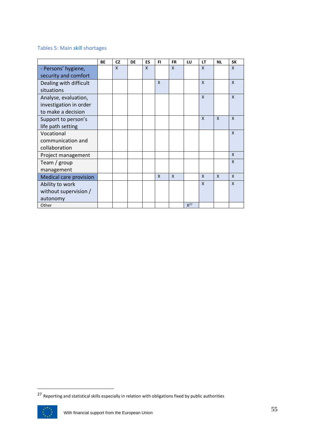## Tables 5: Main skill shortages

|                               | BE | <b>CZ</b>    | DE | ES | FI           | <b>FR</b>    | LU       | LT           | <b>NL</b>    | <b>SK</b>    |
|-------------------------------|----|--------------|----|----|--------------|--------------|----------|--------------|--------------|--------------|
| - Persons' hygiene,           |    | $\mathsf{x}$ |    | X  |              | X            |          | X            |              | X            |
| security and comfort          |    |              |    |    |              |              |          |              |              |              |
| Dealing with difficult        |    |              |    |    | X            |              |          | $\mathsf{x}$ |              | $\mathsf{x}$ |
| situations                    |    |              |    |    |              |              |          |              |              |              |
| Analyse, evaluation,          |    |              |    |    |              |              |          | $\mathsf{x}$ |              | $\mathsf{x}$ |
| investigation in order        |    |              |    |    |              |              |          |              |              |              |
| to make a decision            |    |              |    |    |              |              |          |              |              |              |
| Support to person's           |    |              |    |    |              |              |          | $\mathsf{x}$ | $\mathsf{x}$ | $\mathsf{x}$ |
| life path setting             |    |              |    |    |              |              |          |              |              |              |
| Vocational                    |    |              |    |    |              |              |          |              |              | $\mathsf{x}$ |
| communication and             |    |              |    |    |              |              |          |              |              |              |
| collaboration                 |    |              |    |    |              |              |          |              |              |              |
| Project management            |    |              |    |    |              |              |          |              |              | $\mathsf{x}$ |
| Team / group                  |    |              |    |    |              |              |          |              |              | X            |
| management                    |    |              |    |    |              |              |          |              |              |              |
| <b>Medical care provision</b> |    |              |    |    | $\mathsf{x}$ | $\mathsf{x}$ |          | $\mathsf{x}$ | $\mathsf{x}$ | $\mathsf{x}$ |
| Ability to work               |    |              |    |    |              |              |          | $\mathsf{x}$ |              | X            |
| without supervision /         |    |              |    |    |              |              |          |              |              |              |
| autonomy                      |    |              |    |    |              |              |          |              |              |              |
| Other                         |    |              |    |    |              |              | $X^{27}$ |              |              |              |

 $27$  Reporting and statistical skills especially in relation with obligations fixed by public authorities

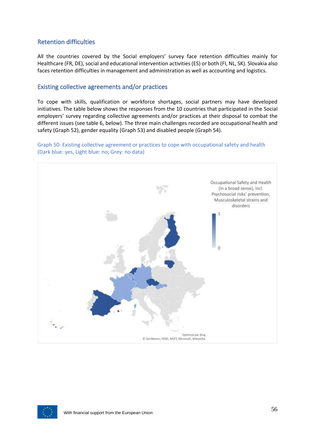## <span id="page-56-0"></span>Retention difficulties

All the countries covered by the Social employers' survey face retention difficulties mainly for Healthcare (FR, DE), social and educational intervention activities (ES) or both (FI, NL, SK). Slovakia also faces retention difficulties in management and administration as well as accounting and logistics.

## <span id="page-56-1"></span>Existing collective agreements and/or practices

To cope with skills, qualification or workforce shortages, social partners may have developed initiatives. The table below shows the responses from the 10 countries that participated in the Social employers' survey regarding collective agreements and/or practices at their disposal to combat the different issues (see table 6, below). The three main challenges recorded are occupational health and safety (Graph 52), gender equality (Graph 53) and disabled people (Graph 54).





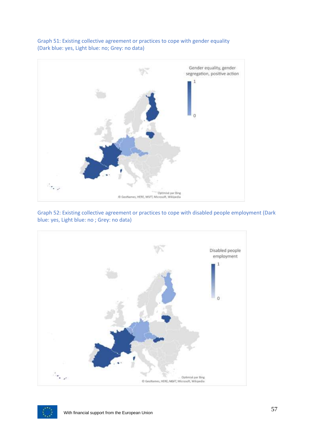

Graph 51: Existing collective agreement or practices to cope with gender equality (Dark blue: yes, Light blue: no; Grey: no data)

Graph 52: Existing collective agreement or practices to cope with disabled people employment (Dark blue: yes, Light blue: no ; Grey: no data)



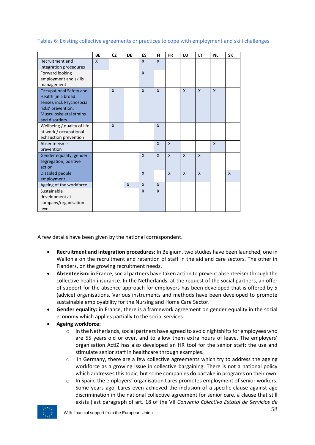|  | Tables 6: Existing collective agreements or practices to cope with employment and skill challenges |  |  |  |
|--|----------------------------------------------------------------------------------------------------|--|--|--|
|--|----------------------------------------------------------------------------------------------------|--|--|--|

|                             | BE | <b>CZ</b>    | DE | ES           | FI           | <b>FR</b>    | LU           | LT           | <b>NL</b>    | <b>SK</b>    |
|-----------------------------|----|--------------|----|--------------|--------------|--------------|--------------|--------------|--------------|--------------|
| Recruitment and             | X  |              |    | X            | X            |              |              |              |              |              |
| integration procedures      |    |              |    |              |              |              |              |              |              |              |
| Forward looking             |    |              |    | $\mathsf{x}$ |              |              |              |              |              |              |
| employment and skills       |    |              |    |              |              |              |              |              |              |              |
| management                  |    |              |    |              |              |              |              |              |              |              |
| Occupational Safety and     |    | X            |    | X            | X            |              | X            | $\mathsf{x}$ | $\mathsf{x}$ |              |
| Health (in a broad          |    |              |    |              |              |              |              |              |              |              |
| sense), incl. Psychosocial  |    |              |    |              |              |              |              |              |              |              |
| risks' prevention,          |    |              |    |              |              |              |              |              |              |              |
| Musculoskeletal strains     |    |              |    |              |              |              |              |              |              |              |
| and disorders               |    |              |    |              |              |              |              |              |              |              |
| Wellbeing / quality of life |    | $\mathsf{x}$ |    |              | $\mathsf{x}$ |              |              |              |              |              |
| at work / occupational      |    |              |    |              |              |              |              |              |              |              |
| exhaustion prevention       |    |              |    |              |              |              |              |              |              |              |
| Absenteeism's               |    |              |    |              | $\mathsf{x}$ | $\mathsf{x}$ |              |              | $\mathsf{x}$ |              |
| prevention                  |    |              |    |              |              |              |              |              |              |              |
| Gender equality, gender     |    |              |    | $\mathsf{x}$ | X            | $\mathsf{x}$ | X            | $\mathsf{x}$ |              |              |
| segregation, positive       |    |              |    |              |              |              |              |              |              |              |
| action                      |    |              |    |              |              |              |              |              |              |              |
| Disabled people             |    |              |    | $\mathsf{x}$ |              | $\mathsf{x}$ | $\mathsf{x}$ | $\mathsf{x}$ |              | $\mathsf{x}$ |
| employment                  |    |              |    |              |              |              |              |              |              |              |
| Ageing of the workforce     |    |              | X  | X            | X            |              |              |              |              |              |
| Sustainable                 |    |              |    | X            | X            |              |              |              |              |              |
| development at              |    |              |    |              |              |              |              |              |              |              |
| company/organisation        |    |              |    |              |              |              |              |              |              |              |
| level                       |    |              |    |              |              |              |              |              |              |              |

A few details have been given by the national correspondent.

- **Recruitment and integration procedures:** In Belgium, two studies have been launched, one in Wallonia on the recruitment and retention of staff in the aid and care sectors. The other in Flanders, on the growing recruitment needs.
- **Absenteeism:** in France, social partners have taken action to prevent absenteeism through the collective health insurance. In the Netherlands, at the request of the social partners, an offer of support for the absence approach for employers has been developed that is offered by 5 (advice) organisations. Various instruments and methods have been developed to promote sustainable employability for the Nursing and Home Care Sector.
- **Gender equality:** in France, there is a framework agreement on gender equality in the social economy which applies partially to the social services.
- **Ageing workforce:**
	- $\circ$  in the Netherlands, social partners have agreed to avoid nightshifts for employees who are 55 years old or over, and to allow them extra hours of leave. The employers' organisation ActiZ has also developed an HR tool for the senior staff: the use and stimulate senior staff in healthcare through examples.
	- $\circ$  In Germany, there are a few collective agreements which try to address the ageing workforce as a growing issue in collective bargaining. There is not a national policy which addresses this topic, but some companies do partake in programs on their own.
	- $\circ$  In Spain, the employers' organisation Lares promotes employment of senior workers. Some years ago, Lares even achieved the inclusion of a specific clause against age discrimination in the national collective agreement for senior care, a clause that still exists (last paragraph of art. 18 of the VII *Convenio Colectivo Estatal de Servicios de*

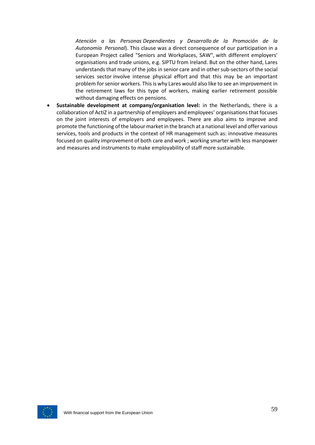*Atención a las Personas Dependientes y Desarrollo de la Promoción de la Autonomía Personal*). This clause was a direct consequence of our participation in a European Project called "Seniors and Workplaces, SAW", with different employers' organisations and trade unions, e.g. SIPTU from Ireland. But on the other hand, Lares understands that many of the jobs in senior care and in other sub-sectors of the social services sector involve intense physical effort and that this may be an important problem for senior workers. This is why Lares would also like to see an improvement in the retirement laws for this type of workers, making earlier retirement possible without damaging effects on pensions.

• **Sustainable development at company/organisation level:** in the Netherlands, there is a collaboration of ActiZ in a partnership of employers and employees' organisations that focuses on the joint interests of employers and employees. There are also aims to improve and promote the functioning of the labour market in the branch at a national level and offer various services, tools and products in the context of HR management such as: innovative measures focused on quality improvement of both care and work ; working smarter with less manpower and measures and instruments to make employability of staff more sustainable.

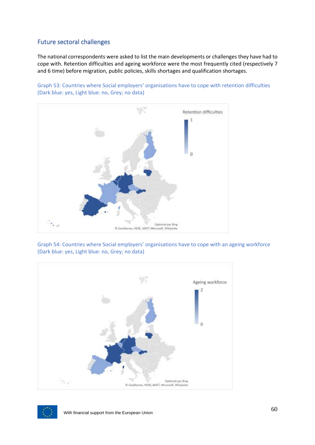## <span id="page-60-0"></span>Future sectoral challenges

The national correspondents were asked to list the main developments or challenges they have had to cope with. Retention difficulties and ageing workforce were the most frequently cited (respectively 7 and 6 time) before migration, public policies, skills shortages and qualification shortages.





Graph 54: Countries where Social employers' organisations have to cope with an ageing workforce (Dark blue: yes, Light blue: no, Grey; no data)



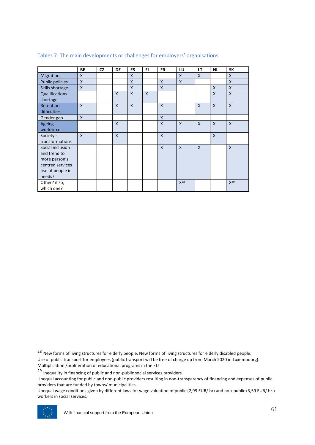|                   | BE           | <b>CZ</b> | DE           | ES           | FI.          | <b>FR</b>    | LU           | LT           | <b>NL</b>                 | <b>SK</b>    |
|-------------------|--------------|-----------|--------------|--------------|--------------|--------------|--------------|--------------|---------------------------|--------------|
| <b>Migrations</b> | $\mathsf{x}$ |           |              | $\mathsf{x}$ |              |              | $\mathsf{X}$ | $\mathsf{x}$ |                           | $\mathsf{x}$ |
| Public policies   | $\mathsf{X}$ |           |              | $\mathsf{x}$ |              | X            | $\mathsf{X}$ |              |                           | X            |
| Skills shortage   | $\mathsf{X}$ |           |              | $\mathsf{x}$ |              | X            |              |              | $\mathsf{x}$              | $\mathsf{x}$ |
| Qualifications    |              |           | $\mathsf{x}$ | $\mathsf{x}$ | $\mathsf{x}$ |              |              |              | $\mathsf{x}$              | $\mathsf{x}$ |
| shortage          |              |           |              |              |              |              |              |              |                           |              |
| Retention         | $\mathsf{x}$ |           | $\mathsf{X}$ | $\mathsf{x}$ |              | X            |              | $\mathsf{x}$ | $\boldsymbol{\mathsf{X}}$ | $\mathsf{X}$ |
| difficulties      |              |           |              |              |              |              |              |              |                           |              |
| Gender gap        | $\mathsf{X}$ |           |              |              |              | X            |              |              |                           |              |
| Ageing            |              |           | $\mathsf{x}$ |              |              | X            | $\mathsf{x}$ | $\mathsf{x}$ | $\mathsf{x}$              | $\mathsf{x}$ |
| workforce         |              |           |              |              |              |              |              |              |                           |              |
| Society's         | $\mathsf{x}$ |           | $\mathsf{X}$ |              |              | X            |              |              | $\mathsf{x}$              |              |
| transformations   |              |           |              |              |              |              |              |              |                           |              |
| Social inclusion  |              |           |              |              |              | $\mathsf{x}$ | $\mathsf{x}$ | $\mathsf{x}$ |                           | $\mathsf{x}$ |
| and trend to      |              |           |              |              |              |              |              |              |                           |              |
| more person's     |              |           |              |              |              |              |              |              |                           |              |
| centred services  |              |           |              |              |              |              |              |              |                           |              |
| rise of people in |              |           |              |              |              |              |              |              |                           |              |
| needs?            |              |           |              |              |              |              |              |              |                           |              |
| Other? if so,     |              |           |              |              |              |              | $X^{28}$     |              |                           | $X^{29}$     |
| which one?        |              |           |              |              |              |              |              |              |                           |              |

#### Tables 7: The main developments or challenges for employers' organisations

Unequal wage conditions given by different laws for wage valuation of public (2,99 EUR/ hr) and non-public (3,59 EUR/ hr.) workers in social services.



<sup>&</sup>lt;sup>28</sup> New forms of living structures for elderly people. New forms of living structures for elderly disabled people. Use of public transport for employees (public transport will be free of charge up from March 2020 in Luxembourg). Multiplication /proliferation of educational programs in the EU

<sup>&</sup>lt;sup>29</sup> Inequality in financing of public and non-public social services providers.

Unequal accounting for public and non-public providers resulting in non-transparency of financing and expenses of public providers that are funded by towns/ municipalities.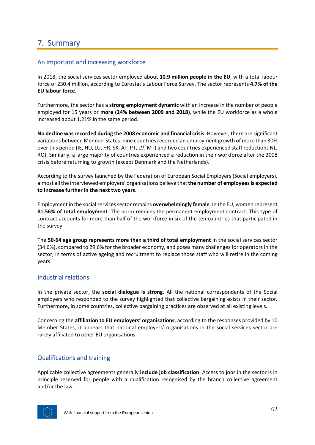# <span id="page-62-0"></span>7. Summary

## <span id="page-62-1"></span>An important and increasing workforce

In 2018, the social services sector employed about **10.9 million people in the EU**, with a total labour force of 230.4 million, according to Eurostat's Labour Force Survey. The sector represents **4.7% of the EU labour force**.

Furthermore, the sector has a **strong employment dynamic** with an increase in the number of people employed for 15 years or **more (24% between 2009 and 2018)**, while the EU workforce as a whole increased about 1.21% in the same period.

**No decline was recorded during the 2008 economic and financial crisis**. However, there are significant variations between Member States: nine countries recorded an employment growth of more than 30% over this period (IE, HU, LU, HR, SK, AT, PT, LV, MT) and two countries experienced staff reductions NL, RO). Similarly, a large majority of countries experienced a reduction in their workforce after the 2008 crisis before returning to growth (except Denmark and the Netherlands).

According to the survey launched by the Federation of European Social Employers (Social employers), almost all the interviewed employers' organisations believe that **the number of employees is expected to increase further in the next two years**.

Employment in the social services sector remains **overwhelmingly female**. In the EU, women represent **81.56% of total employment**. The norm remains the permanent employment contract. This type of contract accounts for more than half of the workforce in six of the ten countries that participated in the survey.

The **50-64 age group represents more than a third of total employment** in the social services sector (34.6%), compared to 29.6% for the broader economy, and poses many challenges for operators in the sector, in terms of active ageing and recruitment to replace those staff who will retire in the coming years.

## <span id="page-62-2"></span>Industrial relations

In the private sector, the **social dialogue is strong**. All the national correspondents of the Social employers who responded to the survey highlighted that collective bargaining exists in their sector. Furthermore, in some countries, collective bargaining practices are observed at all existing levels.

Concerning the **affiliation to EU employers' organisations**, according to the responses provided by 10 Member States, it appears that national employers' organisations in the social services sector are rarely affiliated to other EU organisations.

## <span id="page-62-3"></span>Qualifications and training

Applicable collective agreements generally **include job classification**. Access to jobs in the sector is in principle reserved for people with a qualification recognised by the branch collective agreement and/or the law.

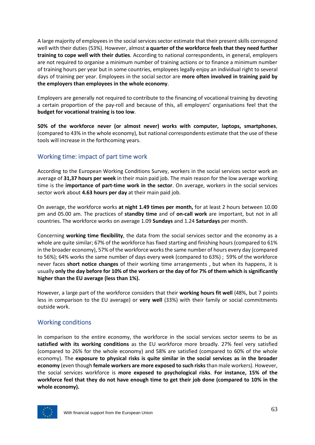A large majority of employees in the social services sector estimate that their present skills correspond well with their duties (53%). However, almost **a quarter of the workforce feels that they need further training to cope well with their duties**. According to national correspondents, in general, employers are not required to organise a minimum number of training actions or to finance a minimum number of training hours per year but in some countries, employees legally enjoy an individual right to several days of training per year. Employees in the social sector are **more often involved in training paid by the employers than employees in the whole economy**.

Employers are generally not required to contribute to the financing of vocational training by devoting a certain proportion of the pay-roll and because of this, all employers' organisations feel that the **budget for vocational training is too low**.

**50% of the workforce never (or almost never) works with computer, laptops, smartphones**, (compared to 43% in the whole economy), but national correspondents estimate that the use of these tools will increase in the forthcoming years.

## <span id="page-63-0"></span>Working time: impact of part time work

According to the European Working Conditions Survey, workers in the social services sector work an average of **31,37 hours per week** in their main paid job. The main reason for the low average working time is the **importance of part-time work in the sector**. On average, workers in the social services sector work about **4.63 hours per day** at their main paid job.

On average, the workforce works **at night 1.49 times per month,** for at least 2 hours between 10.00 pm and 05.00 am. The practices of **standby time** and of **on-call work** are important, but not in all countries. The workforce works on average 1.09 **Sundays** and 1.24 **Saturdays** per month.

Concerning **working time flexibility**, the data from the social services sector and the economy as a whole are quite similar; 67% of the workforce has fixed starting and finishing hours (compared to 61% in the broader economy), 57% of the workforce works the same number of hours every day (compared to 56%); 64% works the same number of days every week (compared to 63%) ; 59% of the workforce never faces **short notice changes** of their working time arrangements , but when its happens, it is usually **only the day before for 10% of the workers or the day of for 7% of them which is significantly higher than the EU average (less than 1%).** 

However, a large part of the workforce considers that their **working hours fit well** (48%, but 7 points less in comparison to the EU average) or **very well** (33%) with their family or social commitments outside work.

## <span id="page-63-1"></span>Working conditions

In comparison to the entire economy, the workforce in the social services sector seems to be as **satisfied with its working conditions** as the EU workforce more broadly. 27% feel very satisfied (compared to 26% for the whole economy) and 58% are satisfied (compared to 60% of the whole economy). The **exposure to physical risks is quite similar in the social services as in the broader economy** (even though **female workers are more exposed to such risks**than male workers). However, the social services workforce is **more exposed to psychological risks**. **For instance, 15% of the workforce feel that they do not have enough time to get their job done (compared to 10% in the whole economy).**